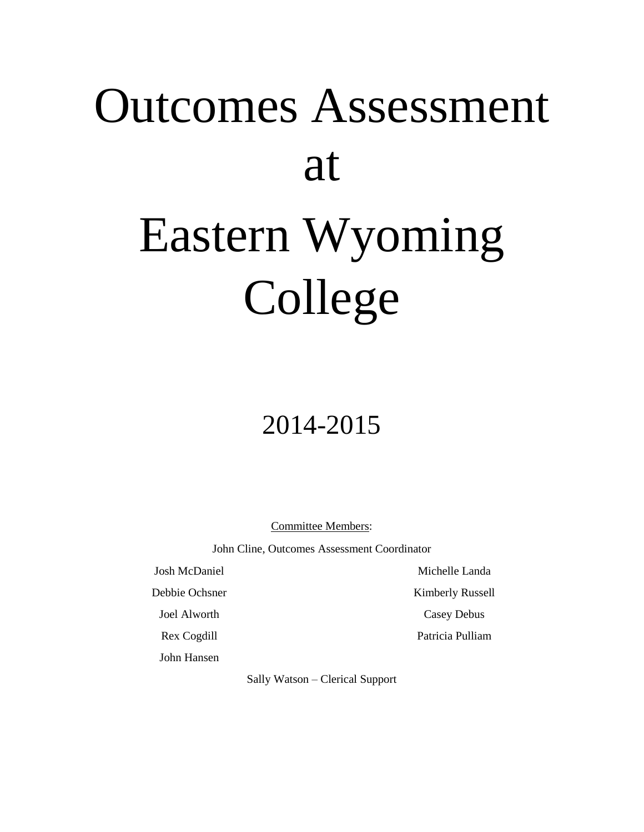# Outcomes Assessment at Eastern Wyoming College

## 2014-2015

Committee Members:

John Cline, Outcomes Assessment Coordinator

Josh McDaniel

Debbie Ochsner

Joel Alworth

Rex Cogdill

John Hansen

Sally Watson – Clerical Support

Michelle Landa

Kimberly Russell

Casey Debus

Patricia Pulliam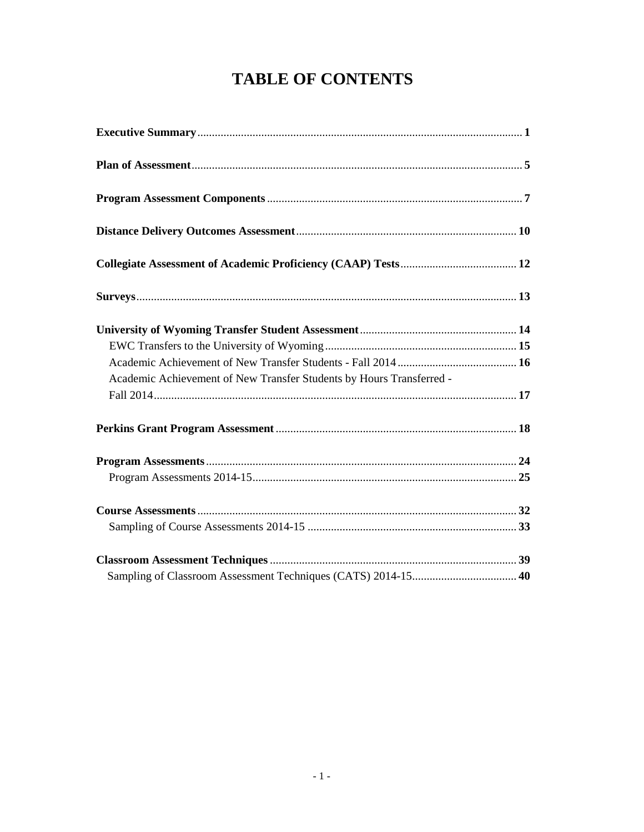## **TABLE OF CONTENTS**

| Academic Achievement of New Transfer Students by Hours Transferred - |  |
|----------------------------------------------------------------------|--|
|                                                                      |  |
|                                                                      |  |
|                                                                      |  |
|                                                                      |  |
|                                                                      |  |
|                                                                      |  |
|                                                                      |  |
|                                                                      |  |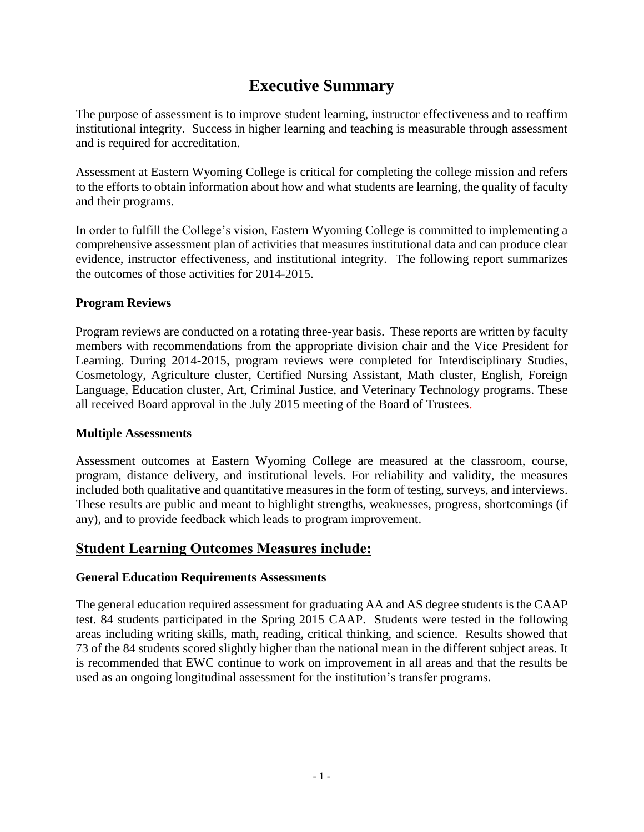## **Executive Summary**

The purpose of assessment is to improve student learning, instructor effectiveness and to reaffirm institutional integrity. Success in higher learning and teaching is measurable through assessment and is required for accreditation.

Assessment at Eastern Wyoming College is critical for completing the college mission and refers to the efforts to obtain information about how and what students are learning, the quality of faculty and their programs.

In order to fulfill the College's vision, Eastern Wyoming College is committed to implementing a comprehensive assessment plan of activities that measures institutional data and can produce clear evidence, instructor effectiveness, and institutional integrity. The following report summarizes the outcomes of those activities for 2014-2015.

#### **Program Reviews**

Program reviews are conducted on a rotating three-year basis. These reports are written by faculty members with recommendations from the appropriate division chair and the Vice President for Learning. During 2014-2015, program reviews were completed for Interdisciplinary Studies, Cosmetology, Agriculture cluster, Certified Nursing Assistant, Math cluster, English, Foreign Language, Education cluster, Art, Criminal Justice, and Veterinary Technology programs. These all received Board approval in the July 2015 meeting of the Board of Trustees.

#### **Multiple Assessments**

Assessment outcomes at Eastern Wyoming College are measured at the classroom, course, program, distance delivery, and institutional levels. For reliability and validity, the measures included both qualitative and quantitative measures in the form of testing, surveys, and interviews. These results are public and meant to highlight strengths, weaknesses, progress, shortcomings (if any), and to provide feedback which leads to program improvement.

#### **Student Learning Outcomes Measures include:**

#### **General Education Requirements Assessments**

The general education required assessment for graduating AA and AS degree students is the CAAP test. 84 students participated in the Spring 2015 CAAP. Students were tested in the following areas including writing skills, math, reading, critical thinking, and science. Results showed that 73 of the 84 students scored slightly higher than the national mean in the different subject areas. It is recommended that EWC continue to work on improvement in all areas and that the results be used as an ongoing longitudinal assessment for the institution's transfer programs.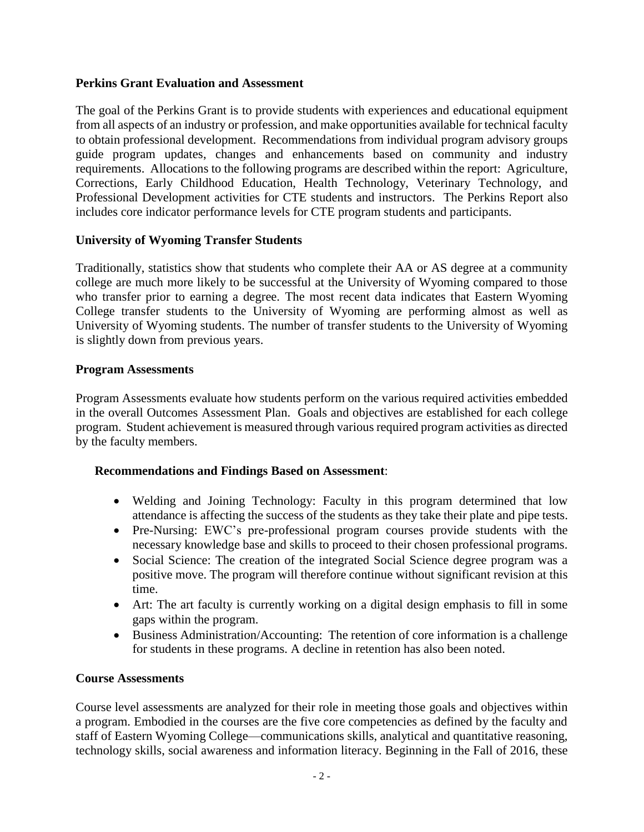#### **Perkins Grant Evaluation and Assessment**

The goal of the Perkins Grant is to provide students with experiences and educational equipment from all aspects of an industry or profession, and make opportunities available for technical faculty to obtain professional development. Recommendations from individual program advisory groups guide program updates, changes and enhancements based on community and industry requirements. Allocations to the following programs are described within the report: Agriculture, Corrections, Early Childhood Education, Health Technology, Veterinary Technology, and Professional Development activities for CTE students and instructors. The Perkins Report also includes core indicator performance levels for CTE program students and participants.

#### **University of Wyoming Transfer Students**

Traditionally, statistics show that students who complete their AA or AS degree at a community college are much more likely to be successful at the University of Wyoming compared to those who transfer prior to earning a degree. The most recent data indicates that Eastern Wyoming College transfer students to the University of Wyoming are performing almost as well as University of Wyoming students. The number of transfer students to the University of Wyoming is slightly down from previous years.

#### **Program Assessments**

Program Assessments evaluate how students perform on the various required activities embedded in the overall Outcomes Assessment Plan. Goals and objectives are established for each college program. Student achievement is measured through various required program activities as directed by the faculty members.

#### **Recommendations and Findings Based on Assessment**:

- Welding and Joining Technology: Faculty in this program determined that low attendance is affecting the success of the students as they take their plate and pipe tests.
- Pre-Nursing: EWC's pre-professional program courses provide students with the necessary knowledge base and skills to proceed to their chosen professional programs.
- Social Science: The creation of the integrated Social Science degree program was a positive move. The program will therefore continue without significant revision at this time.
- Art: The art faculty is currently working on a digital design emphasis to fill in some gaps within the program.
- Business Administration/Accounting: The retention of core information is a challenge for students in these programs. A decline in retention has also been noted.

#### **Course Assessments**

Course level assessments are analyzed for their role in meeting those goals and objectives within a program. Embodied in the courses are the five core competencies as defined by the faculty and staff of Eastern Wyoming College—communications skills, analytical and quantitative reasoning, technology skills, social awareness and information literacy. Beginning in the Fall of 2016, these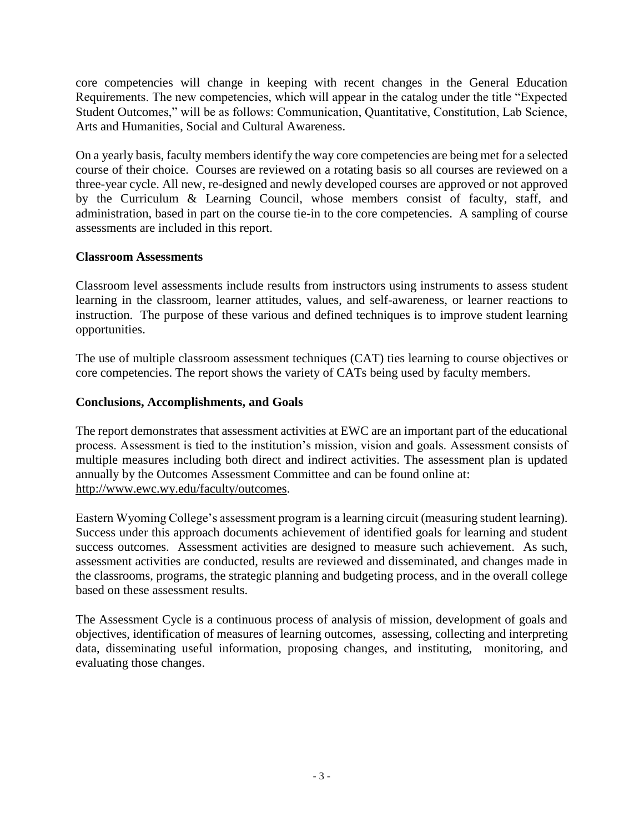core competencies will change in keeping with recent changes in the General Education Requirements. The new competencies, which will appear in the catalog under the title "Expected Student Outcomes," will be as follows: Communication, Quantitative, Constitution, Lab Science, Arts and Humanities, Social and Cultural Awareness.

On a yearly basis, faculty members identify the way core competencies are being met for a selected course of their choice. Courses are reviewed on a rotating basis so all courses are reviewed on a three-year cycle. All new, re-designed and newly developed courses are approved or not approved by the Curriculum & Learning Council, whose members consist of faculty, staff, and administration, based in part on the course tie-in to the core competencies. A sampling of course assessments are included in this report.

#### **Classroom Assessments**

Classroom level assessments include results from instructors using instruments to assess student learning in the classroom, learner attitudes, values, and self-awareness, or learner reactions to instruction. The purpose of these various and defined techniques is to improve student learning opportunities.

The use of multiple classroom assessment techniques (CAT) ties learning to course objectives or core competencies. The report shows the variety of CATs being used by faculty members.

#### **Conclusions, Accomplishments, and Goals**

The report demonstrates that assessment activities at EWC are an important part of the educational process. Assessment is tied to the institution's mission, vision and goals. Assessment consists of multiple measures including both direct and indirect activities. The assessment plan is updated annually by the Outcomes Assessment Committee and can be found online at: http://www.ewc.wy.edu/faculty/outcomes.

Eastern Wyoming College's assessment program is a learning circuit (measuring student learning). Success under this approach documents achievement of identified goals for learning and student success outcomes. Assessment activities are designed to measure such achievement. As such, assessment activities are conducted, results are reviewed and disseminated, and changes made in the classrooms, programs, the strategic planning and budgeting process, and in the overall college based on these assessment results.

The Assessment Cycle is a continuous process of analysis of mission, development of goals and objectives, identification of measures of learning outcomes, assessing, collecting and interpreting data, disseminating useful information, proposing changes, and instituting, monitoring, and evaluating those changes.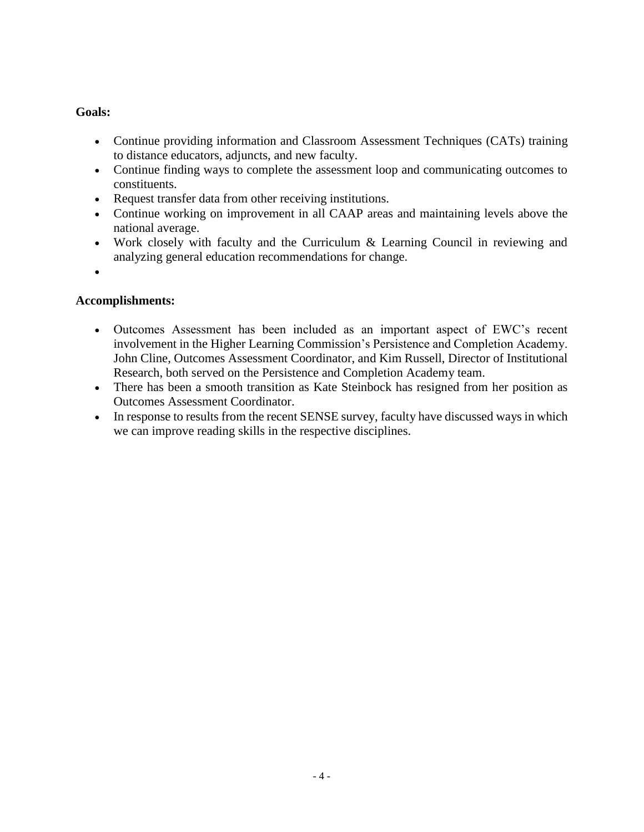#### **Goals:**

- Continue providing information and Classroom Assessment Techniques (CATs) training to distance educators, adjuncts, and new faculty.
- Continue finding ways to complete the assessment loop and communicating outcomes to constituents.
- Request transfer data from other receiving institutions.
- Continue working on improvement in all CAAP areas and maintaining levels above the national average.
- Work closely with faculty and the Curriculum & Learning Council in reviewing and analyzing general education recommendations for change.
- $\bullet$

#### **Accomplishments:**

- Outcomes Assessment has been included as an important aspect of EWC's recent involvement in the Higher Learning Commission's Persistence and Completion Academy. John Cline, Outcomes Assessment Coordinator, and Kim Russell, Director of Institutional Research, both served on the Persistence and Completion Academy team.
- There has been a smooth transition as Kate Steinbock has resigned from her position as Outcomes Assessment Coordinator.
- In response to results from the recent SENSE survey, faculty have discussed ways in which we can improve reading skills in the respective disciplines.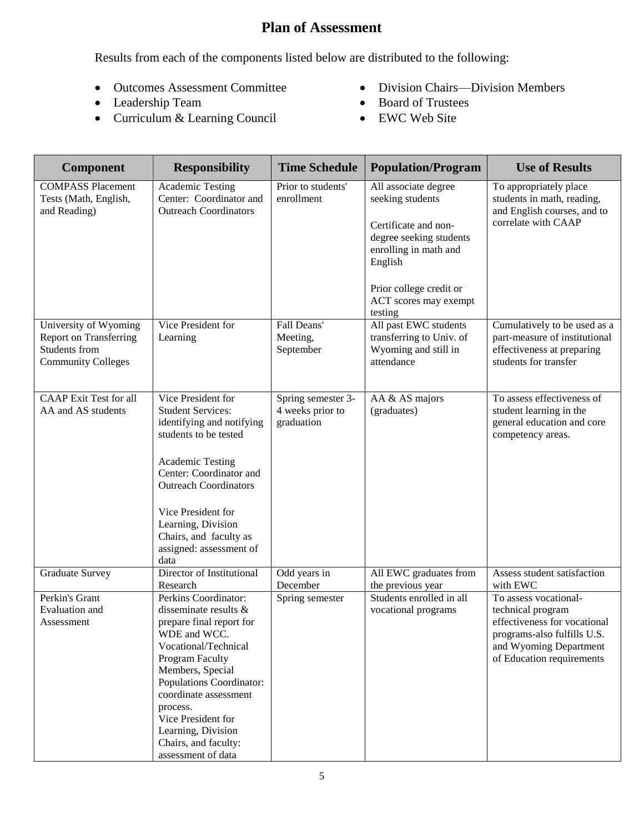## **Plan of Assessment**

Results from each of the components listed below are distributed to the following:

- Outcomes Assessment Committee
- Leadership Team
- Curriculum & Learning Council
- Division Chairs—Division Members
- Board of Trustees
- EWC Web Site

| <b>Component</b>                                                                                     | <b>Responsibility</b>                                                                                                                                                                                                                                                                                               | <b>Time Schedule</b>                                 | <b>Population/Program</b>                                                                                                                                                                      | <b>Use of Results</b>                                                                                                                                            |
|------------------------------------------------------------------------------------------------------|---------------------------------------------------------------------------------------------------------------------------------------------------------------------------------------------------------------------------------------------------------------------------------------------------------------------|------------------------------------------------------|------------------------------------------------------------------------------------------------------------------------------------------------------------------------------------------------|------------------------------------------------------------------------------------------------------------------------------------------------------------------|
| <b>COMPASS Placement</b><br>Tests (Math, English,<br>and Reading)                                    | Academic Testing<br>Center: Coordinator and<br><b>Outreach Coordinators</b>                                                                                                                                                                                                                                         | Prior to students'<br>enrollment                     | All associate degree<br>seeking students<br>Certificate and non-<br>degree seeking students<br>enrolling in math and<br>English<br>Prior college credit or<br>ACT scores may exempt<br>testing | To appropriately place<br>students in math, reading,<br>and English courses, and to<br>correlate with CAAP                                                       |
| University of Wyoming<br><b>Report on Transferring</b><br>Students from<br><b>Community Colleges</b> | Vice President for<br>Learning                                                                                                                                                                                                                                                                                      | Fall Deans'<br>Meeting,<br>September                 | All past EWC students<br>transferring to Univ. of<br>Wyoming and still in<br>attendance                                                                                                        | Cumulatively to be used as a<br>part-measure of institutional<br>effectiveness at preparing<br>students for transfer                                             |
| <b>CAAP</b> Exit Test for all<br>AA and AS students                                                  | Vice President for<br><b>Student Services:</b><br>identifying and notifying<br>students to be tested<br><b>Academic Testing</b><br>Center: Coordinator and<br><b>Outreach Coordinators</b><br>Vice President for<br>Learning, Division<br>Chairs, and faculty as<br>assigned: assessment of<br>data                 | Spring semester 3-<br>4 weeks prior to<br>graduation | AA & AS majors<br>(graduates)                                                                                                                                                                  | To assess effectiveness of<br>student learning in the<br>general education and core<br>competency areas.                                                         |
| <b>Graduate Survey</b>                                                                               | Director of Institutional<br>Research                                                                                                                                                                                                                                                                               | Odd years in<br>December                             | All EWC graduates from<br>the previous year                                                                                                                                                    | Assess student satisfaction<br>with EWC                                                                                                                          |
| Perkin's Grant<br>Evaluation and<br>Assessment                                                       | Perkins Coordinator:<br>disseminate results &<br>prepare final report for<br>WDE and WCC.<br>Vocational/Technical<br>Program Faculty<br>Members, Special<br>Populations Coordinator:<br>coordinate assessment<br>process.<br>Vice President for<br>Learning, Division<br>Chairs, and faculty:<br>assessment of data | Spring semester                                      | Students enrolled in all<br>vocational programs                                                                                                                                                | To assess vocational-<br>technical program<br>effectiveness for vocational<br>programs-also fulfills U.S.<br>and Wyoming Department<br>of Education requirements |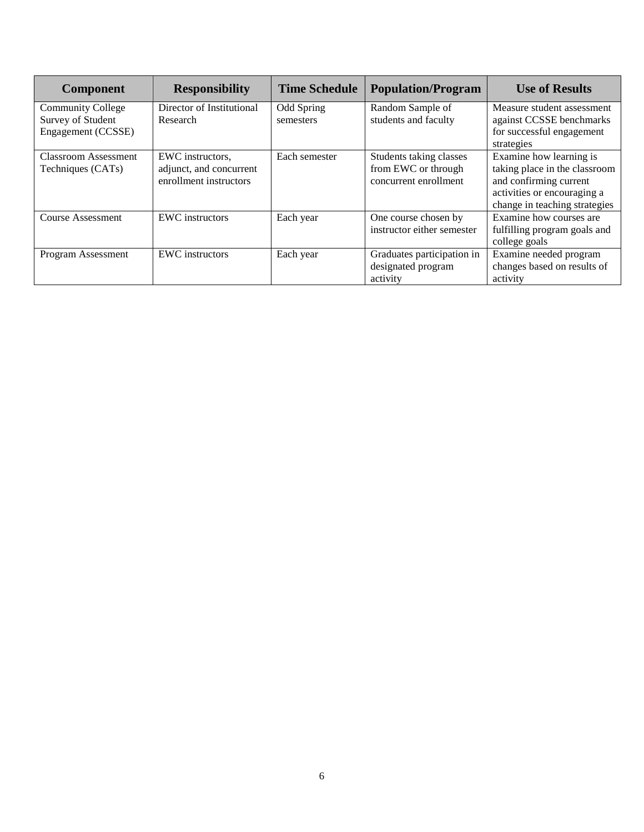| <b>Component</b>                              | <b>Responsibility</b>                 | <b>Time Schedule</b>    | <b>Population/Program</b>                | <b>Use of Results</b>                                 |
|-----------------------------------------------|---------------------------------------|-------------------------|------------------------------------------|-------------------------------------------------------|
| <b>Community College</b><br>Survey of Student | Director of Institutional<br>Research | Odd Spring<br>semesters | Random Sample of<br>students and faculty | Measure student assessment                            |
| Engagement (CCSSE)                            |                                       |                         |                                          | against CCSSE benchmarks<br>for successful engagement |
|                                               |                                       |                         |                                          | strategies                                            |
| Classroom Assessment                          | EWC instructors,                      | Each semester           | Students taking classes                  | Examine how learning is                               |
| Techniques (CATs)                             | adjunct, and concurrent               |                         | from EWC or through                      | taking place in the classroom                         |
|                                               | enrollment instructors                |                         | concurrent enrollment                    | and confirming current                                |
|                                               |                                       |                         |                                          | activities or encouraging a                           |
|                                               |                                       |                         |                                          | change in teaching strategies                         |
| <b>Course Assessment</b>                      | <b>EWC</b> instructors                | Each year               | One course chosen by                     | Examine how courses are                               |
|                                               |                                       |                         | instructor either semester               | fulfilling program goals and                          |
|                                               |                                       |                         |                                          | college goals                                         |
| Program Assessment                            | <b>EWC</b> instructors                | Each year               | Graduates participation in               | Examine needed program                                |
|                                               |                                       |                         | designated program                       | changes based on results of                           |
|                                               |                                       |                         | activity                                 | activity                                              |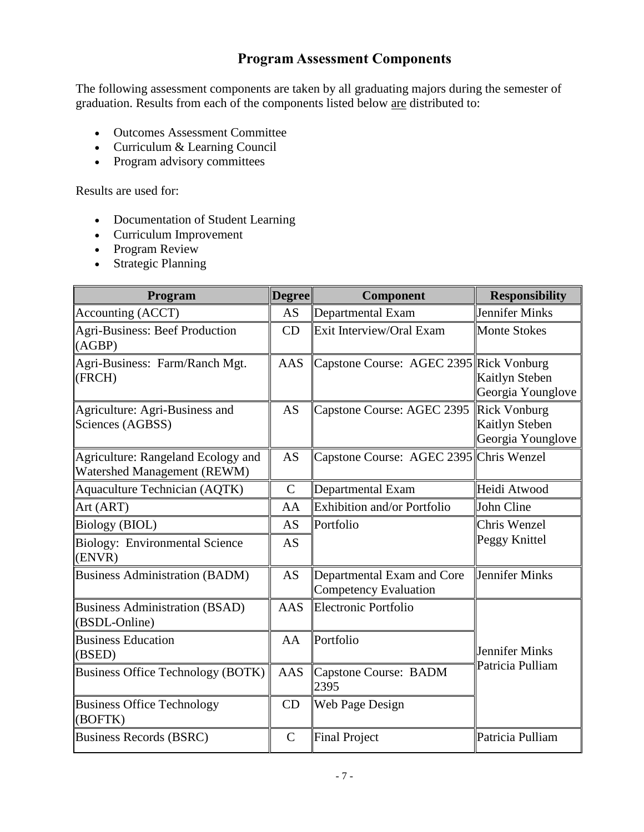#### **Program Assessment Components**

The following assessment components are taken by all graduating majors during the semester of graduation. Results from each of the components listed below are distributed to:

- Outcomes Assessment Committee
- Curriculum & Learning Council
- Program advisory committees

Results are used for:

- Documentation of Student Learning
- Curriculum Improvement
- Program Review
- Strategic Planning

| Program                                                           | <b>Degree</b> | Component                                           | <b>Responsibility</b>               |
|-------------------------------------------------------------------|---------------|-----------------------------------------------------|-------------------------------------|
| Accounting (ACCT)                                                 | <b>AS</b>     | Departmental Exam                                   | Jennifer Minks                      |
| <b>Agri-Business: Beef Production</b><br>(AGBP)                   | CD            | Exit Interview/Oral Exam                            | <b>Monte Stokes</b>                 |
| Agri-Business: Farm/Ranch Mgt.<br>(FRCH)                          | <b>AAS</b>    | Capstone Course: AGEC 2395 Rick Vonburg             | Kaitlyn Steben<br>Georgia Younglove |
| Agriculture: Agri-Business and<br>Sciences (AGBSS)                | <b>AS</b>     | Capstone Course: AGEC 2395 Rick Vonburg             | Kaitlyn Steben<br>Georgia Younglove |
| Agriculture: Rangeland Ecology and<br>Watershed Management (REWM) | <b>AS</b>     | Capstone Course: AGEC 2395 Chris Wenzel             |                                     |
| <b>Aquaculture Technician (AQTK)</b>                              | $\mathbf C$   | Departmental Exam                                   | Heidi Atwood                        |
| Art (ART)                                                         | AA            | Exhibition and/or Portfolio                         | John Cline                          |
| <b>Biology (BIOL)</b>                                             | <b>AS</b>     | Portfolio                                           | Chris Wenzel                        |
| <b>Biology: Environmental Science</b><br>(ENVR)                   | AS            |                                                     | Peggy Knittel                       |
| <b>Business Administration (BADM)</b>                             | <b>AS</b>     | Departmental Exam and Core<br>Competency Evaluation | Jennifer Minks                      |
| <b>Business Administration (BSAD)</b><br>(BSDL-Online)            | <b>AAS</b>    | Electronic Portfolio                                |                                     |
| <b>Business Education</b><br>(BSED)                               | AA            | Portfolio                                           | Jennifer Minks                      |
| <b>Business Office Technology (BOTK)</b>                          | <b>AAS</b>    | <b>Capstone Course: BADM</b><br>2395                | Patricia Pulliam                    |
| <b>Business Office Technology</b><br>(BOFTK)                      | CD            | <b>Web Page Design</b>                              |                                     |
| Business Records (BSRC)                                           | $\mathcal{C}$ | <b>Final Project</b>                                | Patricia Pulliam                    |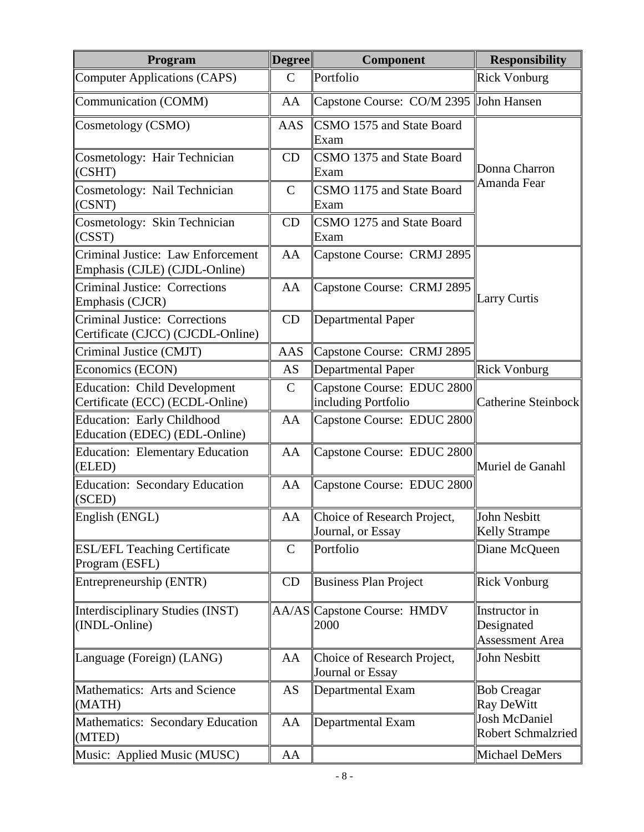| Program                                                                   | <b>Degree</b> | Component                                         | <b>Responsibility</b>                                 |  |  |
|---------------------------------------------------------------------------|---------------|---------------------------------------------------|-------------------------------------------------------|--|--|
| <b>Computer Applications (CAPS)</b>                                       | $\mathsf{C}$  | Portfolio                                         | <b>Rick Vonburg</b>                                   |  |  |
| Communication (COMM)                                                      | AA            | Capstone Course: CO/M 2395 John Hansen            |                                                       |  |  |
| Cosmetology (CSMO)                                                        | AAS           | CSMO 1575 and State Board<br>Exam                 |                                                       |  |  |
| Cosmetology: Hair Technician<br>$ $ (CSHT)                                | CD            | CSMO 1375 and State Board<br>Exam                 | Donna Charron                                         |  |  |
| Cosmetology: Nail Technician<br>(CSNT)                                    | $\mathcal{C}$ | CSMO 1175 and State Board<br>Exam                 | Amanda Fear                                           |  |  |
| Cosmetology: Skin Technician<br>$ $ (CSST)                                | CD            | CSMO 1275 and State Board<br>Exam                 |                                                       |  |  |
| Criminal Justice: Law Enforcement<br>Emphasis (CJLE) (CJDL-Online)        | AA            | Capstone Course: CRMJ 2895                        |                                                       |  |  |
| <b>Criminal Justice: Corrections</b><br>Emphasis (CJCR)                   | AA            | Capstone Course: CRMJ 2895                        | <b>Larry Curtis</b>                                   |  |  |
| <b>Criminal Justice: Corrections</b><br>Certificate (CJCC) (CJCDL-Online) | CD            | <b>Departmental Paper</b>                         |                                                       |  |  |
| Criminal Justice (CMJT)                                                   | AAS           | Capstone Course: CRMJ 2895                        |                                                       |  |  |
| Economics (ECON)                                                          | <b>AS</b>     | <b>Departmental Paper</b>                         | <b>Rick Vonburg</b>                                   |  |  |
| <b>Education: Child Development</b><br>Certificate (ECC) (ECDL-Online)    | $\mathsf{C}$  | Capstone Course: EDUC 2800<br>including Portfolio | <b>Catherine Steinbock</b>                            |  |  |
| <b>Education: Early Childhood</b><br>Education (EDEC) (EDL-Online)        | AA            | Capstone Course: EDUC 2800                        |                                                       |  |  |
| <b>Education: Elementary Education</b><br>(ELED)                          | AA            | Capstone Course: EDUC 2800                        | Muriel de Ganahl                                      |  |  |
| <b>Education: Secondary Education</b><br>$ $ (SCED)                       | AA            | Capstone Course: EDUC 2800                        |                                                       |  |  |
| English (ENGL)                                                            | AA            | Choice of Research Project,<br>Journal, or Essay  | John Nesbitt<br><b>Kelly Strampe</b>                  |  |  |
| <b>ESL/EFL Teaching Certificate</b><br>Program (ESFL)                     | $\mathsf{C}$  | Portfolio                                         | Diane McQueen                                         |  |  |
| Entrepreneurship (ENTR)                                                   | CD            | <b>Business Plan Project</b>                      | <b>Rick Vonburg</b>                                   |  |  |
| Interdisciplinary Studies (INST)<br>(INDL-Online)                         |               | AA/AS  Capstone Course: HMDV<br>2000              | Instructor in<br>Designated<br><b>Assessment Area</b> |  |  |
| Language (Foreign) (LANG)                                                 | AA            | Choice of Research Project,<br>Journal or Essay   | John Nesbitt                                          |  |  |
| Mathematics: Arts and Science<br>(MATH)                                   | AS            | Departmental Exam                                 | <b>Bob Creagar</b><br>Ray DeWitt                      |  |  |
| Mathematics: Secondary Education<br>(MTED)                                | AA            | Departmental Exam                                 | <b>Josh McDaniel</b><br><b>Robert Schmalzried</b>     |  |  |
| Music: Applied Music (MUSC)                                               | AA            |                                                   | Michael DeMers                                        |  |  |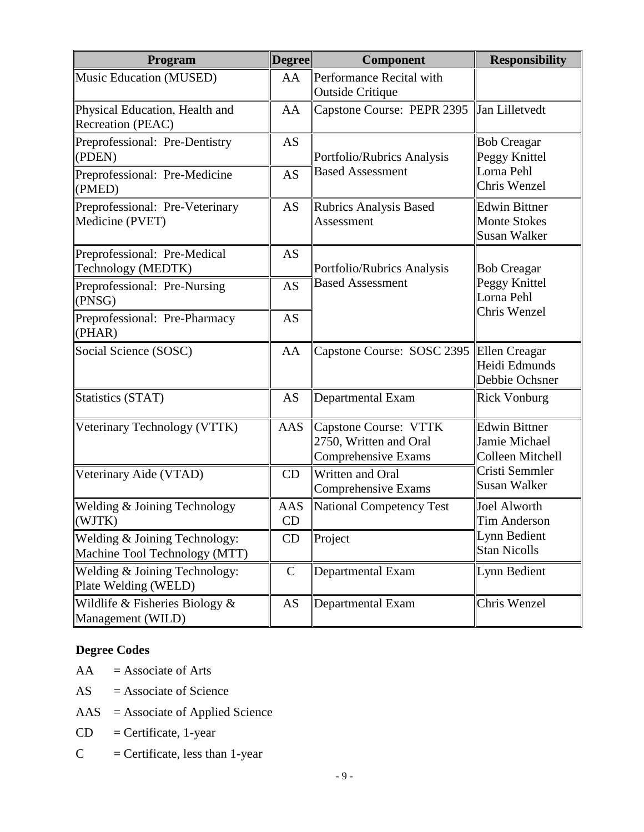| Program                                                        | <b>Degree</b>                              | <b>Component</b>                                                       | <b>Responsibility</b>                              |  |  |
|----------------------------------------------------------------|--------------------------------------------|------------------------------------------------------------------------|----------------------------------------------------|--|--|
| Music Education (MUSED)                                        | AA                                         | Performance Recital with<br><b>Outside Critique</b>                    |                                                    |  |  |
| Physical Education, Health and<br>Recreation (PEAC)            | AA                                         | Capstone Course: PEPR 2395                                             | Jan Lilletvedt                                     |  |  |
| Preprofessional: Pre-Dentistry<br>(PDEN)                       | AS                                         | Portfolio/Rubrics Analysis                                             | <b>Bob Creagar</b><br>Peggy Knittel                |  |  |
| Preprofessional: Pre-Medicine<br>(PMED)                        | <b>AS</b>                                  | <b>Based Assessment</b>                                                | Lorna Pehl<br>Chris Wenzel                         |  |  |
| Preprofessional: Pre-Veterinary<br>Medicine (PVET)             | AS<br>Rubrics Analysis Based<br>Assessment |                                                                        |                                                    |  |  |
| Preprofessional: Pre-Medical<br>Technology (MEDTK)             | AS                                         | Portfolio/Rubrics Analysis                                             | <b>Bob Creagar</b>                                 |  |  |
| Preprofessional: Pre-Nursing<br>(PNSG)                         | <b>AS</b>                                  | <b>Based Assessment</b>                                                | Peggy Knittel<br>Lorna Pehl                        |  |  |
| Preprofessional: Pre-Pharmacy<br>(PHAR)                        | <b>AS</b>                                  |                                                                        | Chris Wenzel                                       |  |  |
| Social Science (SOSC)                                          | AA                                         | Capstone Course: SOSC 2395                                             | Ellen Creagar<br>Heidi Edmunds<br>Debbie Ochsner   |  |  |
| Statistics (STAT)                                              | AS                                         | Departmental Exam                                                      | <b>Rick Vonburg</b>                                |  |  |
| Veterinary Technology (VTTK)                                   | <b>AAS</b>                                 | Capstone Course: VTTK<br>2750, Written and Oral<br>Comprehensive Exams | Edwin Bittner<br>Jamie Michael<br>Colleen Mitchell |  |  |
| Veterinary Aide (VTAD)                                         | CD                                         | Written and Oral<br>Comprehensive Exams                                | Cristi Semmler<br>Susan Walker                     |  |  |
| Welding & Joining Technology<br>(WJTK)                         | AAS<br>CD                                  | National Competency Test                                               | Joel Alworth<br>Tim Anderson                       |  |  |
| Welding & Joining Technology:<br>Machine Tool Technology (MTT) | CD                                         | Project                                                                | Lynn Bedient<br><b>Stan Nicolls</b>                |  |  |
| Welding & Joining Technology:<br>Plate Welding (WELD)          | $\mathbf C$                                | Departmental Exam                                                      | Lynn Bedient                                       |  |  |
| Wildlife & Fisheries Biology $&$<br>Management (WILD)          | AS                                         | Departmental Exam                                                      | Chris Wenzel                                       |  |  |

#### **Degree Codes**

- $AA =$  Associate of Arts
- $AS =$  Associate of Science
- AAS = Associate of Applied Science
- $CD =$  Certificate, 1-year
- $C =$  Certificate, less than 1-year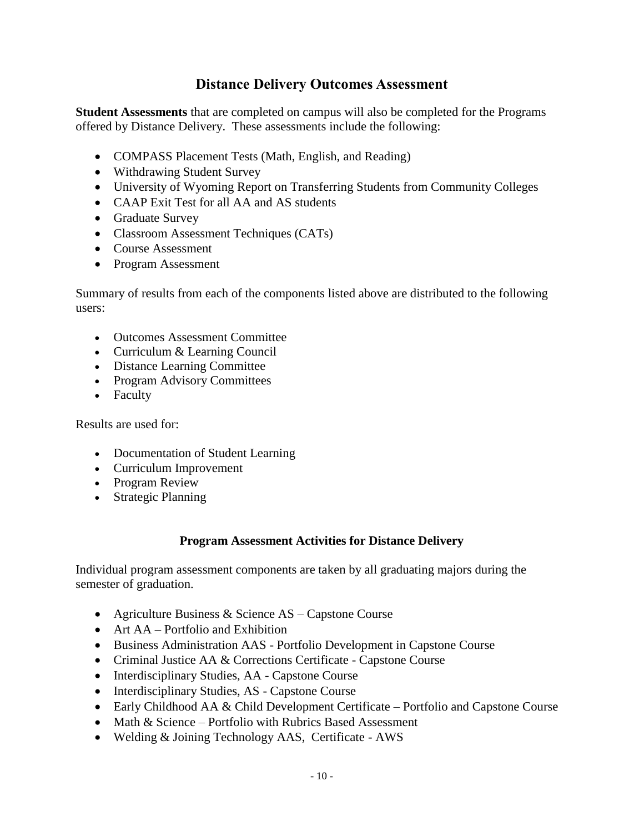#### **Distance Delivery Outcomes Assessment**

**Student Assessments** that are completed on campus will also be completed for the Programs offered by Distance Delivery. These assessments include the following:

- COMPASS Placement Tests (Math, English, and Reading)
- Withdrawing Student Survey
- University of Wyoming Report on Transferring Students from Community Colleges
- CAAP Exit Test for all AA and AS students
- Graduate Survey
- Classroom Assessment Techniques (CATs)
- Course Assessment
- Program Assessment

Summary of results from each of the components listed above are distributed to the following users:

- Outcomes Assessment Committee
- Curriculum & Learning Council
- Distance Learning Committee
- Program Advisory Committees
- Faculty

Results are used for:

- Documentation of Student Learning
- Curriculum Improvement
- Program Review
- Strategic Planning

#### **Program Assessment Activities for Distance Delivery**

Individual program assessment components are taken by all graduating majors during the semester of graduation.

- Agriculture Business & Science AS Capstone Course
- Art AA Portfolio and Exhibition
- Business Administration AAS Portfolio Development in Capstone Course
- Criminal Justice AA & Corrections Certificate Capstone Course
- Interdisciplinary Studies, AA Capstone Course
- Interdisciplinary Studies, AS Capstone Course
- Early Childhood AA & Child Development Certificate Portfolio and Capstone Course
- Math & Science Portfolio with Rubrics Based Assessment
- Welding & Joining Technology AAS, Certificate AWS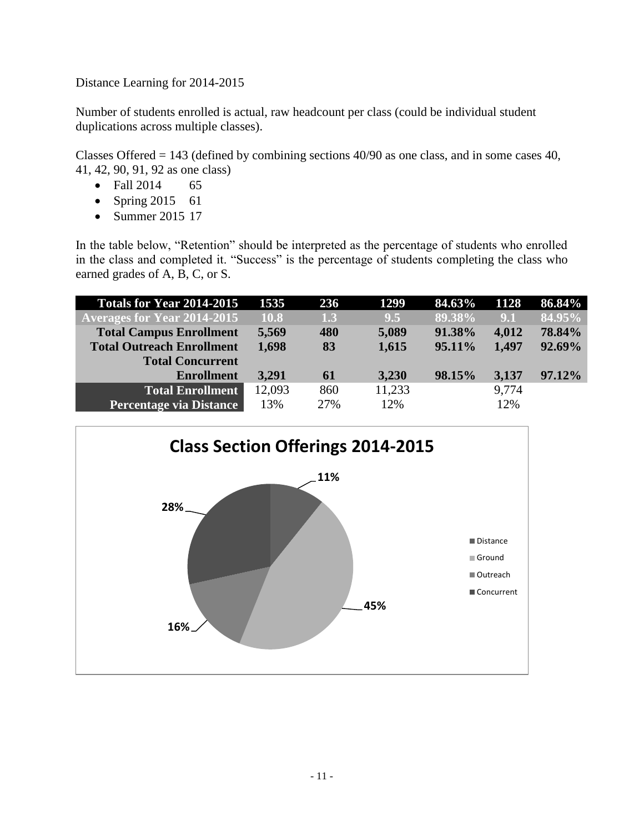Distance Learning for 2014-2015

Number of students enrolled is actual, raw headcount per class (could be individual student duplications across multiple classes).

Classes Offered = 143 (defined by combining sections 40/90 as one class, and in some cases 40, 41, 42, 90, 91, 92 as one class)

- Fall 2014 65
- Spring 2015 61
- Summer 2015 17

In the table below, "Retention" should be interpreted as the percentage of students who enrolled in the class and completed it. "Success" is the percentage of students completing the class who earned grades of A, B, C, or S.

| <b>Totals for Year 2014-2015</b>   | 1535   | <b>236</b> | 1299   | 84.63% | 1128  | 86.84% |
|------------------------------------|--------|------------|--------|--------|-------|--------|
| <b>Averages for Year 2014-2015</b> | 10.8   | 1.3        | 9.5    | 89.38% | 9.1   | 84.95% |
| <b>Total Campus Enrollment</b>     | 5,569  | 480        | 5,089  | 91.38% | 4,012 | 78.84% |
| <b>Total Outreach Enrollment</b>   | 1,698  | 83         | 1,615  | 95.11% | 1,497 | 92.69% |
| <b>Total Concurrent</b>            |        |            |        |        |       |        |
| <b>Enrollment</b>                  | 3,291  | 61         | 3,230  | 98.15% | 3,137 | 97.12% |
| <b>Total Enrollment</b>            | 12,093 | 860        | 11,233 |        | 9,774 |        |
| <b>Percentage via Distance</b>     | 13%    | 27%        | 12%    |        | 12%   |        |

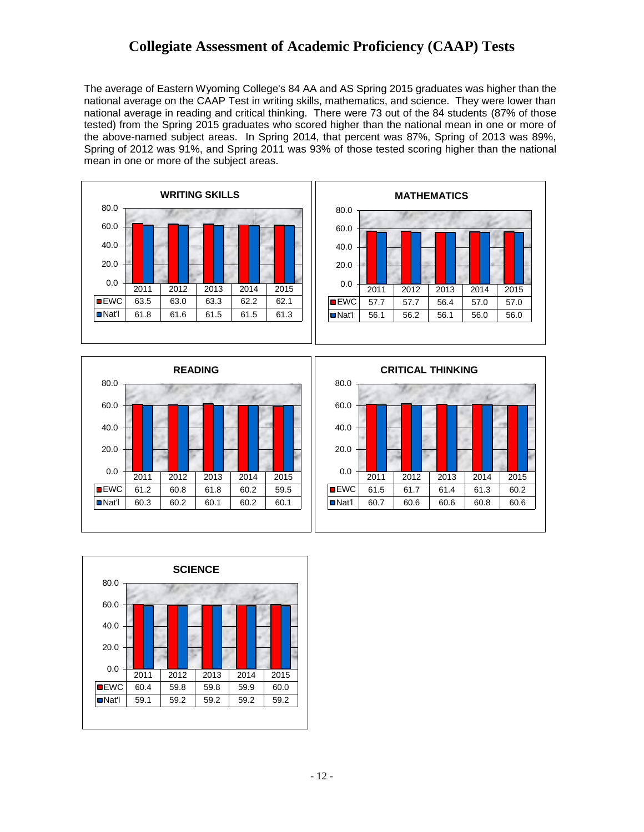#### **Collegiate Assessment of Academic Proficiency (CAAP) Tests**

The average of Eastern Wyoming College's 84 AA and AS Spring 2015 graduates was higher than the national average on the CAAP Test in writing skills, mathematics, and science. They were lower than national average in reading and critical thinking. There were 73 out of the 84 students (87% of those tested) from the Spring 2015 graduates who scored higher than the national mean in one or more of the above-named subject areas. In Spring 2014, that percent was 87%, Spring of 2013 was 89%, Spring of 2012 was 91%, and Spring 2011 was 93% of those tested scoring higher than the national mean in one or more of the subject areas.





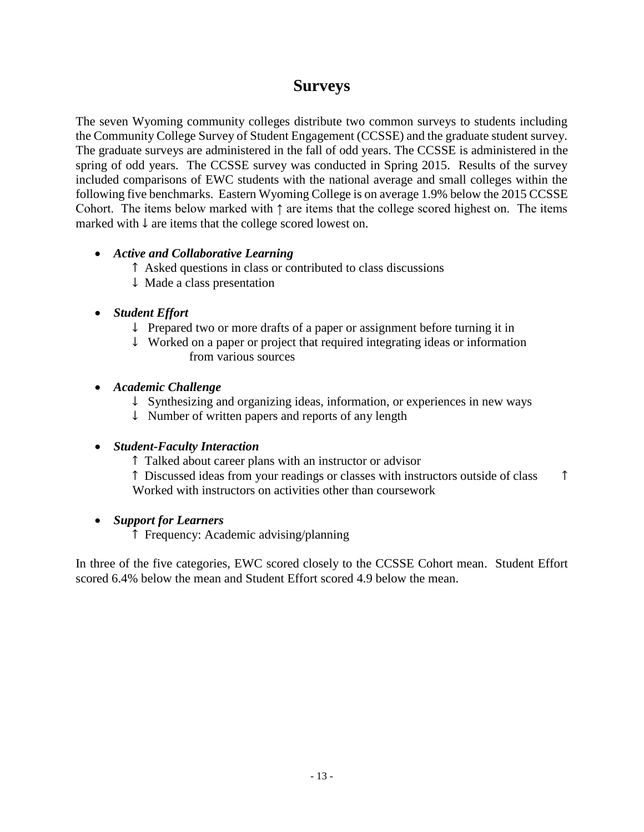## **Surveys**

The seven Wyoming community colleges distribute two common surveys to students including the Community College Survey of Student Engagement (CCSSE) and the graduate student survey. The graduate surveys are administered in the fall of odd years. The CCSSE is administered in the spring of odd years. The CCSSE survey was conducted in Spring 2015. Results of the survey included comparisons of EWC students with the national average and small colleges within the following five benchmarks. Eastern Wyoming College is on average 1.9% below the 2015 CCSSE Cohort. The items below marked with ↑ are items that the college scored highest on. The items marked with ↓ are items that the college scored lowest on.

#### *Active and Collaborative Learning*

- ↑ Asked questions in class or contributed to class discussions
- ↓ Made a class presentation
- *Student Effort*
	- ↓ Prepared two or more drafts of a paper or assignment before turning it in
	- ↓ Worked on a paper or project that required integrating ideas or information from various sources

#### *Academic Challenge*

- ↓ Synthesizing and organizing ideas, information, or experiences in new ways
- ↓ Number of written papers and reports of any length

#### *Student-Faculty Interaction*

- ↑ Talked about career plans with an instructor or advisor
- ↑ Discussed ideas from your readings or classes with instructors outside of class ↑ Worked with instructors on activities other than coursework

#### *Support for Learners*

↑ Frequency: Academic advising/planning

In three of the five categories, EWC scored closely to the CCSSE Cohort mean. Student Effort scored 6.4% below the mean and Student Effort scored 4.9 below the mean.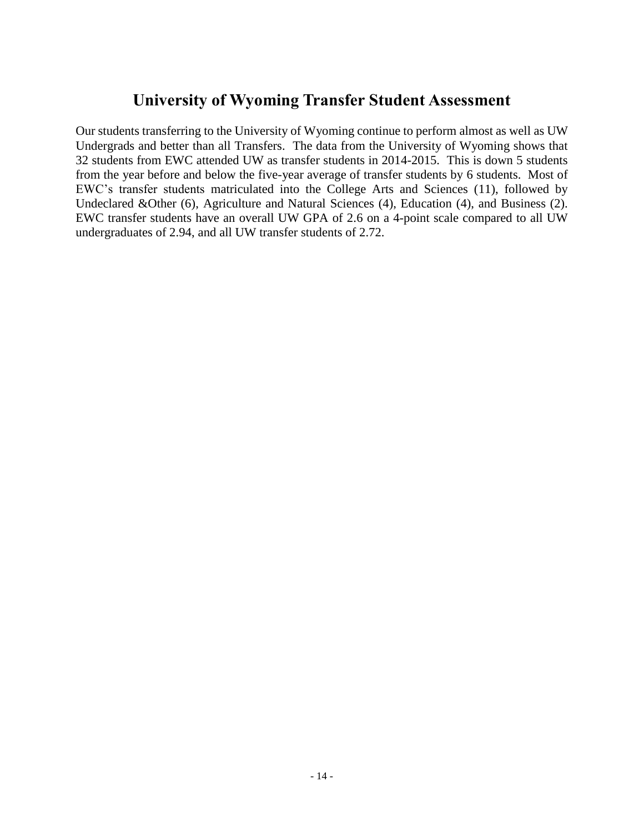## **University of Wyoming Transfer Student Assessment**

Our students transferring to the University of Wyoming continue to perform almost as well as UW Undergrads and better than all Transfers. The data from the University of Wyoming shows that 32 students from EWC attended UW as transfer students in 2014-2015. This is down 5 students from the year before and below the five-year average of transfer students by 6 students. Most of EWC's transfer students matriculated into the College Arts and Sciences (11), followed by Undeclared &Other (6), Agriculture and Natural Sciences (4), Education (4), and Business (2). EWC transfer students have an overall UW GPA of 2.6 on a 4-point scale compared to all UW undergraduates of 2.94, and all UW transfer students of 2.72.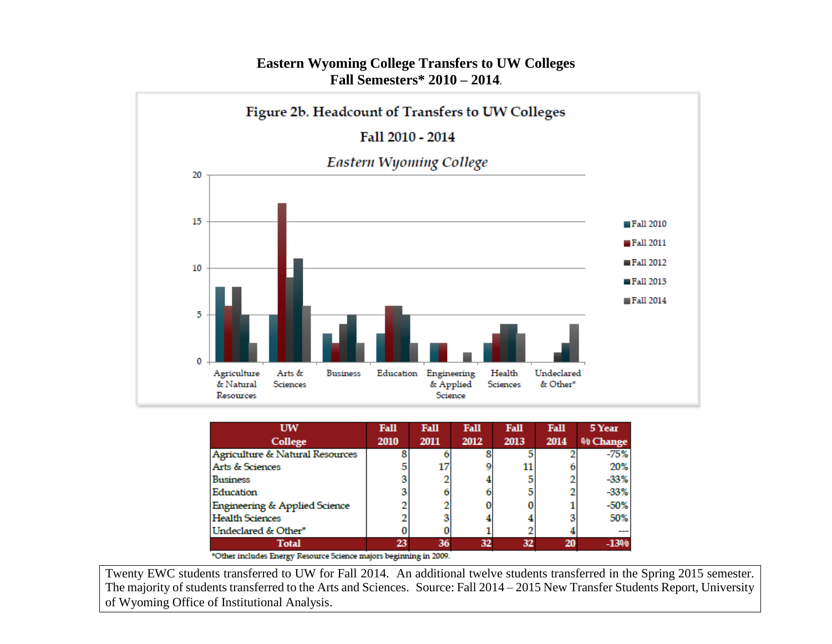

#### **Eastern Wyoming College Transfers to UW Colleges Fall Semesters\* 2010 – 2014**.

| UW                                       | <b>Fall</b> | Fall | Fall | Fall | <b>Fall</b> | 5 Year   |
|------------------------------------------|-------------|------|------|------|-------------|----------|
| College                                  | 2010        | 2011 | 2012 | 2013 | 2014        | % Change |
| Agriculture & Natural Resources          |             |      |      |      |             | -75%     |
| Arts & Sciences                          |             |      |      | 11   |             | 20%      |
| Business                                 |             |      |      |      |             | $-33%$   |
| Education                                |             |      |      |      |             | $-33%$   |
| <b>Engineering &amp; Applied Science</b> |             |      |      |      |             | $-50%$   |
| <b>Health Sciences</b>                   |             |      |      |      |             | 50%      |
| Undeclared & Other*                      |             |      |      |      |             |          |
| <b>Total</b>                             | 23          | 36   | 32   | 32   | 20          | $-1300$  |

\*Other includes Energy Resource Science majors beginning in 2009.

The majority of students transferred to the Arts and Sciences. Source: Fall 2014 – 2015 New Transfer Students Report, University Twenty EWC students transferred to UW for Fall 2014. An additional twelve students transferred in the Spring 2015 semester. of Wyoming Office of Institutional Analysis.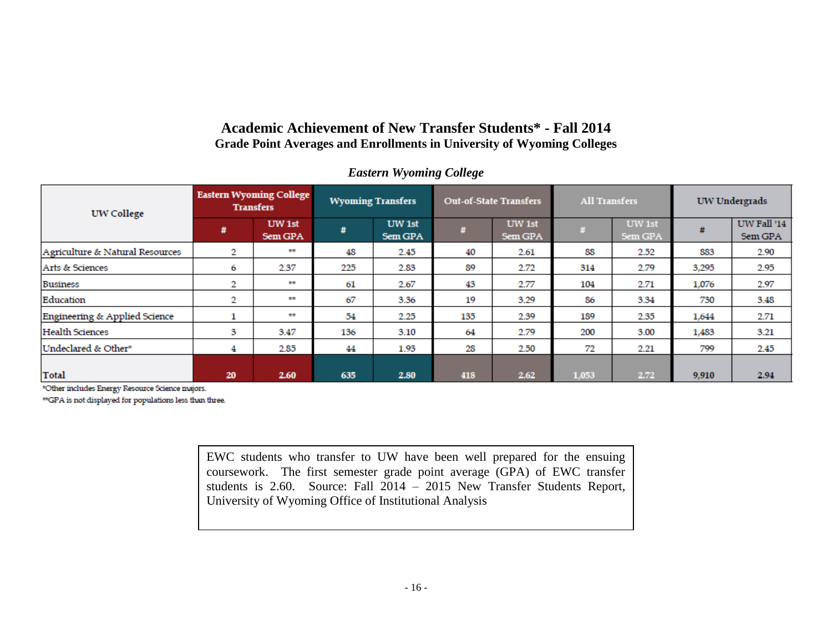#### **Academic Achievement of New Transfer Students\* - Fall 2014 Grade Point Averages and Enrollments in University of Wyoming Colleges**

| <b>UW College</b>               | <b>Eastern Wyoming College</b><br><b>Transfers</b> |                   | <b>Wyoming Transfers</b> |                   | <b>Out-of-State Transfers</b> |                   | <b>All Transfers</b> |                   | UW Undergrads |                        |
|---------------------------------|----------------------------------------------------|-------------------|--------------------------|-------------------|-------------------------------|-------------------|----------------------|-------------------|---------------|------------------------|
|                                 | #                                                  | UW 1st<br>Sem GPA | #                        | UW 1st<br>Sem GPA |                               | UW 1st<br>Sem GPA | #                    | UW 1st<br>Sem GPA | Ħ             | UW Fall '14<br>Sem GPA |
| Agriculture & Natural Resources | 2                                                  | **                | 48                       | 2.45              | 40                            | 2.61              | 88                   | 2.52              | 883           | 2.90                   |
| Arts & Sciences                 | 6                                                  | 2.37              | 225                      | 2.83              | 89                            | 2.72              | 314                  | 2.79              | 3,295         | 2.95                   |
| <b>Business</b>                 | 2                                                  | **                | 61                       | 2.67              | 43                            | 2.77              | 104                  | 2.71              | 1,076         | 2.97                   |
| Education                       | 2                                                  | $***$             | 67                       | 3.36              | 19                            | 3.29              | 86                   | 3.34              | 730           | 3.48                   |
| Engineering & Applied Science   |                                                    | **                | 54                       | 2.25              | 135                           | 2.39              | 189                  | 2.35              | 1,644         | 2.71                   |
| <b>Health Sciences</b>          | з                                                  | 3.47              | 136                      | 3.10              | 64                            | 2.79              | 200                  | 3.00              | 1,483         | 3.21                   |
| Undeclared & Other*             | 4                                                  | 2.85              | 44                       | 1.93              | 28                            | 2.50              | 72                   | 2.21              | 799           | 2.45                   |
| <b>Total</b>                    | 20                                                 | 2.60              | 635                      | 2.80              | 418                           | 2.62              | 1,053                | 2.72              | 9,910         | 2.94                   |

#### *Eastern Wyoming College*

\*Other includes Energy Resource Science majors.

\*\*GPA is not displayed for populations less than three.

EWC students who transfer to UW have been well prepared for the ensuing coursework. The first semester grade point average (GPA) of EWC transfer students is 2.60. Source: Fall 2014 – 2015 New Transfer Students Report, University of Wyoming Office of Institutional Analysis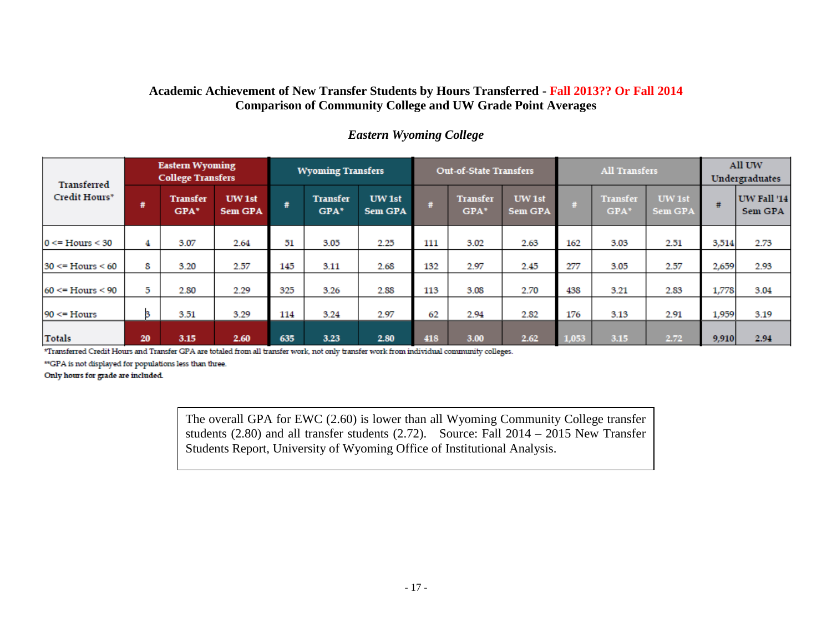#### **Academic Achievement of New Transfer Students by Hours Transferred - Fall 2013?? Or Fall 2014 Comparison of Community College and UW Grade Point Averages**

| <b>Transferred</b>        |    | <b>Eastern Wyoming</b><br><b>College Transfers</b> |                          | <b>Wyoming Transfers</b> |                         | <b>Out-of-State Transfers</b> |     |                         | <b>All Transfers</b> |       |                           | All UW<br>Undergraduates |       |                        |
|---------------------------|----|----------------------------------------------------|--------------------------|--------------------------|-------------------------|-------------------------------|-----|-------------------------|----------------------|-------|---------------------------|--------------------------|-------|------------------------|
| Credit Hours*             | #  | <b>Transfer</b><br>GPA*                            | UW 1st<br><b>Sem GPA</b> | #                        | <b>Transfer</b><br>GPA* | UW 1st<br><b>Sem GPA</b>      | #   | <b>Transfer</b><br>GPA* | UW 1st<br>Sem GPA    |       | <b>Transfer</b><br>$GPA*$ | UW 1st<br>Sem GPA        | #     | UW Fall '14<br>Sem GPA |
| $0 \leq Hours \leq 30$    | 4  | 3.07                                               | 2.64                     | 51                       | 3.05                    | 2.25                          | 111 | 3.02                    | 2.63                 | 162   | 3.03                      | 2.51                     | 3,514 | 2.73                   |
| $30 \leq$ Hours $\leq 60$ | 8  | 3.20                                               | 2.57                     | 145                      | 3.11                    | 2.68                          | 132 | 2.97                    | 2.45                 | 277   | 3.05                      | 2.57                     | 2,659 | 2.93                   |
| $60 \leq$ Hours $\leq 90$ | 5  | 2.80                                               | 2.29                     | 325                      | 3.26                    | 2.88                          | 113 | 3.08                    | 2.70                 | 438   | 3.21                      | 2.83                     | 1,778 | 3.04                   |
| $90 \leq$ Hours           | з  | 3.51                                               | 3.29                     | 114                      | 3.24                    | 2.97                          | 62  | 2.94                    | 2.82                 | 176   | 3.13                      | 2.91                     | 1,959 | 3.19                   |
| <b>Totals</b>             | 20 | 3.15                                               | 2.60                     | 635                      | 3.23                    | 2.80                          | 418 | 3.00                    | 2.62                 | 1,053 | 3.15                      | 2.72                     | 9,910 | 2.94                   |

#### *Eastern Wyoming College*

\*Transferred Credit Hours and Transfer GPA are totaled from all transfer work, not only transfer work from individual community colleges.

\*\*GPA is not displayed for populations less than three.

Only hours for grade are included.

The overall GPA for EWC (2.60) is lower than all Wyoming Community College transfer students (2.80) and all transfer students (2.72). Source: Fall 2014 – 2015 New Transfer Students Report, University of Wyoming Office of Institutional Analysis.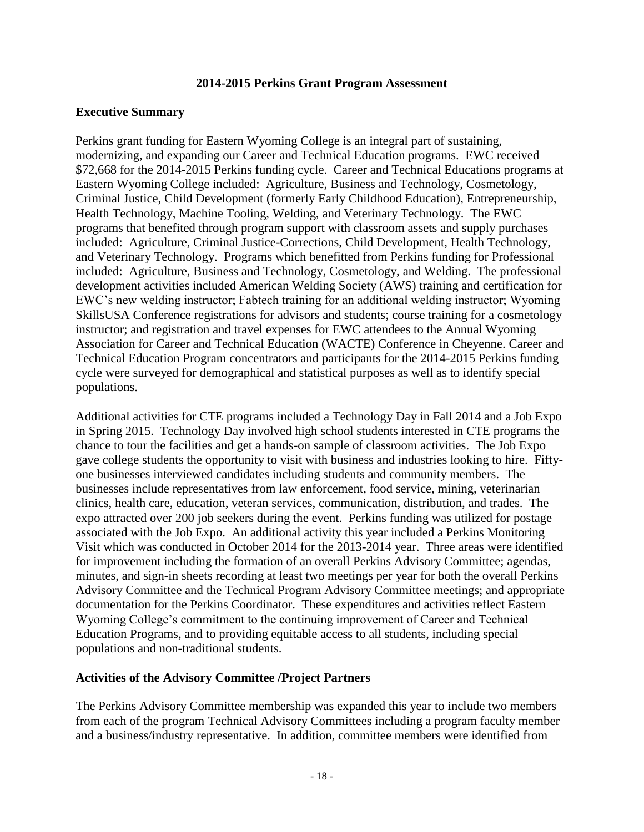#### **2014-2015 Perkins Grant Program Assessment**

#### **Executive Summary**

Perkins grant funding for Eastern Wyoming College is an integral part of sustaining, modernizing, and expanding our Career and Technical Education programs. EWC received \$72,668 for the 2014-2015 Perkins funding cycle. Career and Technical Educations programs at Eastern Wyoming College included: Agriculture, Business and Technology, Cosmetology, Criminal Justice, Child Development (formerly Early Childhood Education), Entrepreneurship, Health Technology, Machine Tooling, Welding, and Veterinary Technology. The EWC programs that benefited through program support with classroom assets and supply purchases included: Agriculture, Criminal Justice-Corrections, Child Development, Health Technology, and Veterinary Technology. Programs which benefitted from Perkins funding for Professional included: Agriculture, Business and Technology, Cosmetology, and Welding. The professional development activities included American Welding Society (AWS) training and certification for EWC's new welding instructor; Fabtech training for an additional welding instructor; Wyoming SkillsUSA Conference registrations for advisors and students; course training for a cosmetology instructor; and registration and travel expenses for EWC attendees to the Annual Wyoming Association for Career and Technical Education (WACTE) Conference in Cheyenne. Career and Technical Education Program concentrators and participants for the 2014-2015 Perkins funding cycle were surveyed for demographical and statistical purposes as well as to identify special populations.

Additional activities for CTE programs included a Technology Day in Fall 2014 and a Job Expo in Spring 2015. Technology Day involved high school students interested in CTE programs the chance to tour the facilities and get a hands-on sample of classroom activities. The Job Expo gave college students the opportunity to visit with business and industries looking to hire. Fiftyone businesses interviewed candidates including students and community members. The businesses include representatives from law enforcement, food service, mining, veterinarian clinics, health care, education, veteran services, communication, distribution, and trades. The expo attracted over 200 job seekers during the event. Perkins funding was utilized for postage associated with the Job Expo. An additional activity this year included a Perkins Monitoring Visit which was conducted in October 2014 for the 2013-2014 year. Three areas were identified for improvement including the formation of an overall Perkins Advisory Committee; agendas, minutes, and sign-in sheets recording at least two meetings per year for both the overall Perkins Advisory Committee and the Technical Program Advisory Committee meetings; and appropriate documentation for the Perkins Coordinator. These expenditures and activities reflect Eastern Wyoming College's commitment to the continuing improvement of Career and Technical Education Programs, and to providing equitable access to all students, including special populations and non-traditional students.

#### **Activities of the Advisory Committee /Project Partners**

The Perkins Advisory Committee membership was expanded this year to include two members from each of the program Technical Advisory Committees including a program faculty member and a business/industry representative. In addition, committee members were identified from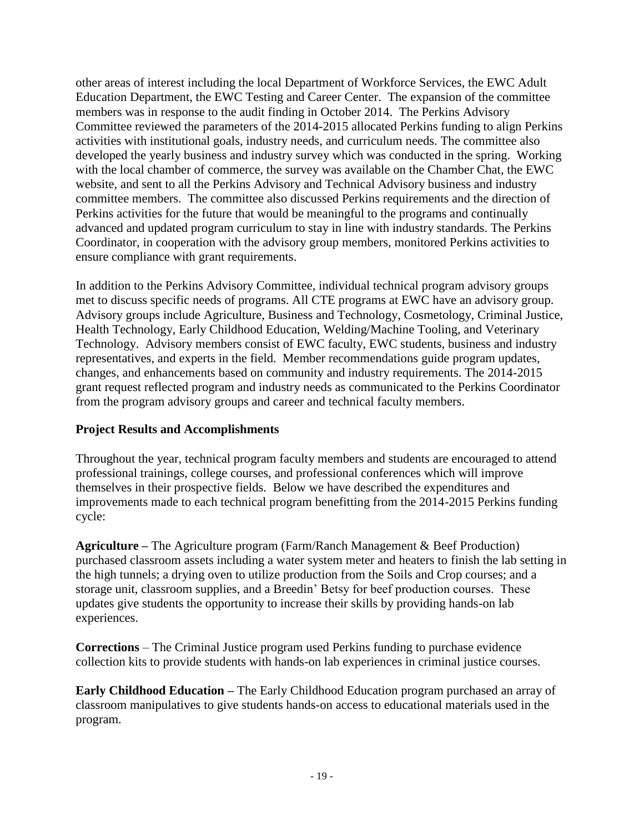other areas of interest including the local Department of Workforce Services, the EWC Adult Education Department, the EWC Testing and Career Center. The expansion of the committee members was in response to the audit finding in October 2014. The Perkins Advisory Committee reviewed the parameters of the 2014-2015 allocated Perkins funding to align Perkins activities with institutional goals, industry needs, and curriculum needs. The committee also developed the yearly business and industry survey which was conducted in the spring. Working with the local chamber of commerce, the survey was available on the Chamber Chat, the EWC website, and sent to all the Perkins Advisory and Technical Advisory business and industry committee members. The committee also discussed Perkins requirements and the direction of Perkins activities for the future that would be meaningful to the programs and continually advanced and updated program curriculum to stay in line with industry standards. The Perkins Coordinator, in cooperation with the advisory group members, monitored Perkins activities to ensure compliance with grant requirements.

In addition to the Perkins Advisory Committee, individual technical program advisory groups met to discuss specific needs of programs. All CTE programs at EWC have an advisory group. Advisory groups include Agriculture, Business and Technology, Cosmetology, Criminal Justice, Health Technology, Early Childhood Education, Welding/Machine Tooling, and Veterinary Technology. Advisory members consist of EWC faculty, EWC students, business and industry representatives, and experts in the field. Member recommendations guide program updates, changes, and enhancements based on community and industry requirements. The 2014-2015 grant request reflected program and industry needs as communicated to the Perkins Coordinator from the program advisory groups and career and technical faculty members.

#### **Project Results and Accomplishments**

Throughout the year, technical program faculty members and students are encouraged to attend professional trainings, college courses, and professional conferences which will improve themselves in their prospective fields. Below we have described the expenditures and improvements made to each technical program benefitting from the 2014-2015 Perkins funding cycle:

**Agriculture –** The Agriculture program (Farm/Ranch Management & Beef Production) purchased classroom assets including a water system meter and heaters to finish the lab setting in the high tunnels; a drying oven to utilize production from the Soils and Crop courses; and a storage unit, classroom supplies, and a Breedin' Betsy for beef production courses. These updates give students the opportunity to increase their skills by providing hands-on lab experiences.

**Corrections** – The Criminal Justice program used Perkins funding to purchase evidence collection kits to provide students with hands-on lab experiences in criminal justice courses.

**Early Childhood Education –** The Early Childhood Education program purchased an array of classroom manipulatives to give students hands-on access to educational materials used in the program.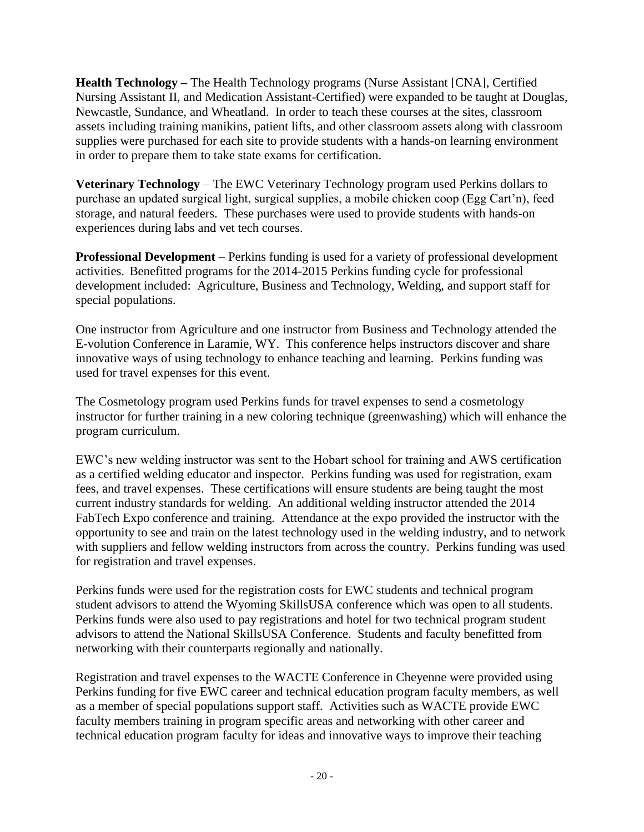**Health Technology –** The Health Technology programs (Nurse Assistant [CNA], Certified Nursing Assistant II, and Medication Assistant-Certified) were expanded to be taught at Douglas, Newcastle, Sundance, and Wheatland. In order to teach these courses at the sites, classroom assets including training manikins, patient lifts, and other classroom assets along with classroom supplies were purchased for each site to provide students with a hands-on learning environment in order to prepare them to take state exams for certification.

**Veterinary Technology** – The EWC Veterinary Technology program used Perkins dollars to purchase an updated surgical light, surgical supplies, a mobile chicken coop (Egg Cart'n), feed storage, and natural feeders. These purchases were used to provide students with hands-on experiences during labs and vet tech courses.

**Professional Development** – Perkins funding is used for a variety of professional development activities. Benefitted programs for the 2014-2015 Perkins funding cycle for professional development included: Agriculture, Business and Technology, Welding, and support staff for special populations.

One instructor from Agriculture and one instructor from Business and Technology attended the E-volution Conference in Laramie, WY. This conference helps instructors discover and share innovative ways of using technology to enhance teaching and learning. Perkins funding was used for travel expenses for this event.

The Cosmetology program used Perkins funds for travel expenses to send a cosmetology instructor for further training in a new coloring technique (greenwashing) which will enhance the program curriculum.

EWC's new welding instructor was sent to the Hobart school for training and AWS certification as a certified welding educator and inspector. Perkins funding was used for registration, exam fees, and travel expenses. These certifications will ensure students are being taught the most current industry standards for welding. An additional welding instructor attended the 2014 FabTech Expo conference and training. Attendance at the expo provided the instructor with the opportunity to see and train on the latest technology used in the welding industry, and to network with suppliers and fellow welding instructors from across the country. Perkins funding was used for registration and travel expenses.

Perkins funds were used for the registration costs for EWC students and technical program student advisors to attend the Wyoming SkillsUSA conference which was open to all students. Perkins funds were also used to pay registrations and hotel for two technical program student advisors to attend the National SkillsUSA Conference. Students and faculty benefitted from networking with their counterparts regionally and nationally.

Registration and travel expenses to the WACTE Conference in Cheyenne were provided using Perkins funding for five EWC career and technical education program faculty members, as well as a member of special populations support staff. Activities such as WACTE provide EWC faculty members training in program specific areas and networking with other career and technical education program faculty for ideas and innovative ways to improve their teaching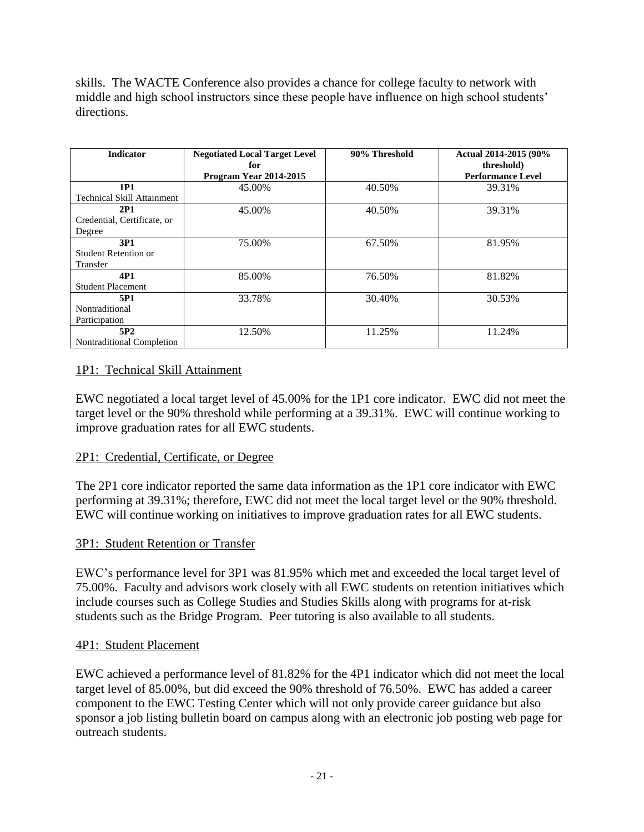skills. The WACTE Conference also provides a chance for college faculty to network with middle and high school instructors since these people have influence on high school students' directions.

| <b>Indicator</b>                               | <b>Negotiated Local Target Level</b><br>for<br>Program Year 2014-2015 | 90% Threshold | Actual 2014-2015 (90%<br>threshold)<br><b>Performance Level</b> |
|------------------------------------------------|-----------------------------------------------------------------------|---------------|-----------------------------------------------------------------|
| 1P1<br><b>Technical Skill Attainment</b>       | 45.00%                                                                | 40.50%        | 39.31%                                                          |
| 2P1<br>Credential, Certificate, or<br>Degree   | 45.00%                                                                | 40.50%        | 39.31%                                                          |
| 3P1<br><b>Student Retention or</b><br>Transfer | 75.00%                                                                | 67.50%        | 81.95%                                                          |
| 4P1<br><b>Student Placement</b>                | 85.00%                                                                | 76.50%        | 81.82%                                                          |
| 5P1<br>Nontraditional<br>Participation         | 33.78%                                                                | 30.40%        | 30.53%                                                          |
| 5P <sub>2</sub><br>Nontraditional Completion   | 12.50%                                                                | 11.25%        | 11.24%                                                          |

#### 1P1: Technical Skill Attainment

EWC negotiated a local target level of 45.00% for the 1P1 core indicator. EWC did not meet the target level or the 90% threshold while performing at a 39.31%. EWC will continue working to improve graduation rates for all EWC students.

#### 2P1: Credential, Certificate, or Degree

The 2P1 core indicator reported the same data information as the 1P1 core indicator with EWC performing at 39.31%; therefore, EWC did not meet the local target level or the 90% threshold. EWC will continue working on initiatives to improve graduation rates for all EWC students.

#### 3P1: Student Retention or Transfer

EWC's performance level for 3P1 was 81.95% which met and exceeded the local target level of 75.00%. Faculty and advisors work closely with all EWC students on retention initiatives which include courses such as College Studies and Studies Skills along with programs for at-risk students such as the Bridge Program. Peer tutoring is also available to all students.

#### 4P1: Student Placement

EWC achieved a performance level of 81.82% for the 4P1 indicator which did not meet the local target level of 85.00%, but did exceed the 90% threshold of 76.50%. EWC has added a career component to the EWC Testing Center which will not only provide career guidance but also sponsor a job listing bulletin board on campus along with an electronic job posting web page for outreach students.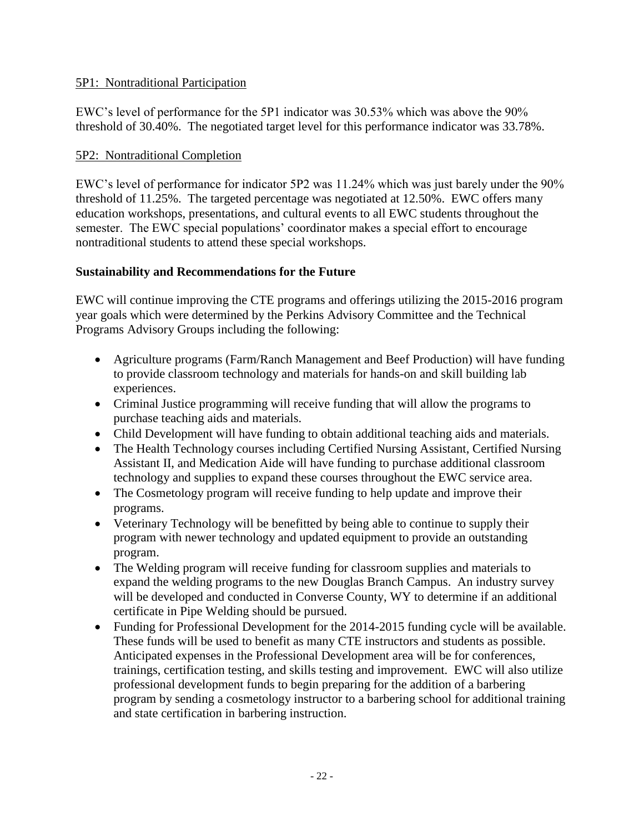#### 5P1: Nontraditional Participation

EWC's level of performance for the 5P1 indicator was 30.53% which was above the 90% threshold of 30.40%. The negotiated target level for this performance indicator was 33.78%.

#### 5P2: Nontraditional Completion

EWC's level of performance for indicator 5P2 was 11.24% which was just barely under the 90% threshold of 11.25%. The targeted percentage was negotiated at 12.50%. EWC offers many education workshops, presentations, and cultural events to all EWC students throughout the semester. The EWC special populations' coordinator makes a special effort to encourage nontraditional students to attend these special workshops.

#### **Sustainability and Recommendations for the Future**

EWC will continue improving the CTE programs and offerings utilizing the 2015-2016 program year goals which were determined by the Perkins Advisory Committee and the Technical Programs Advisory Groups including the following:

- Agriculture programs (Farm/Ranch Management and Beef Production) will have funding to provide classroom technology and materials for hands-on and skill building lab experiences.
- Criminal Justice programming will receive funding that will allow the programs to purchase teaching aids and materials.
- Child Development will have funding to obtain additional teaching aids and materials.
- The Health Technology courses including Certified Nursing Assistant, Certified Nursing Assistant II, and Medication Aide will have funding to purchase additional classroom technology and supplies to expand these courses throughout the EWC service area.
- The Cosmetology program will receive funding to help update and improve their programs.
- Veterinary Technology will be benefitted by being able to continue to supply their program with newer technology and updated equipment to provide an outstanding program.
- The Welding program will receive funding for classroom supplies and materials to expand the welding programs to the new Douglas Branch Campus. An industry survey will be developed and conducted in Converse County, WY to determine if an additional certificate in Pipe Welding should be pursued.
- Funding for Professional Development for the 2014-2015 funding cycle will be available. These funds will be used to benefit as many CTE instructors and students as possible. Anticipated expenses in the Professional Development area will be for conferences, trainings, certification testing, and skills testing and improvement. EWC will also utilize professional development funds to begin preparing for the addition of a barbering program by sending a cosmetology instructor to a barbering school for additional training and state certification in barbering instruction.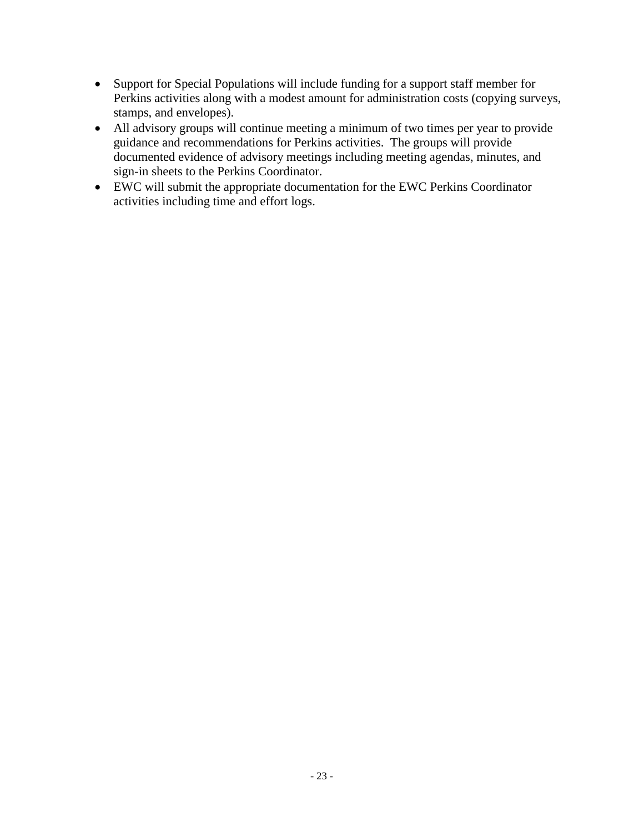- Support for Special Populations will include funding for a support staff member for Perkins activities along with a modest amount for administration costs (copying surveys, stamps, and envelopes).
- All advisory groups will continue meeting a minimum of two times per year to provide guidance and recommendations for Perkins activities. The groups will provide documented evidence of advisory meetings including meeting agendas, minutes, and sign-in sheets to the Perkins Coordinator.
- EWC will submit the appropriate documentation for the EWC Perkins Coordinator activities including time and effort logs.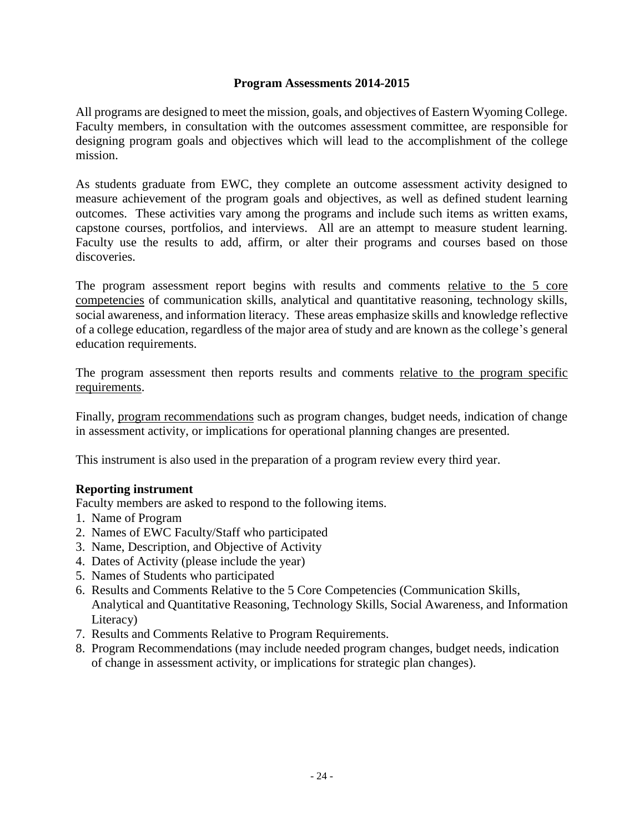#### **Program Assessments 2014-2015**

All programs are designed to meet the mission, goals, and objectives of Eastern Wyoming College. Faculty members, in consultation with the outcomes assessment committee, are responsible for designing program goals and objectives which will lead to the accomplishment of the college mission.

As students graduate from EWC, they complete an outcome assessment activity designed to measure achievement of the program goals and objectives, as well as defined student learning outcomes. These activities vary among the programs and include such items as written exams, capstone courses, portfolios, and interviews. All are an attempt to measure student learning. Faculty use the results to add, affirm, or alter their programs and courses based on those discoveries.

The program assessment report begins with results and comments relative to the 5 core competencies of communication skills, analytical and quantitative reasoning, technology skills, social awareness, and information literacy. These areas emphasize skills and knowledge reflective of a college education, regardless of the major area of study and are known as the college's general education requirements.

The program assessment then reports results and comments relative to the program specific requirements.

Finally, program recommendations such as program changes, budget needs, indication of change in assessment activity, or implications for operational planning changes are presented.

This instrument is also used in the preparation of a program review every third year.

#### **Reporting instrument**

Faculty members are asked to respond to the following items.

- 1. Name of Program
- 2. Names of EWC Faculty/Staff who participated
- 3. Name, Description, and Objective of Activity
- 4. Dates of Activity (please include the year)
- 5. Names of Students who participated
- 6. Results and Comments Relative to the 5 Core Competencies (Communication Skills, Analytical and Quantitative Reasoning, Technology Skills, Social Awareness, and Information Literacy)
- 7. Results and Comments Relative to Program Requirements.
- 8. Program Recommendations (may include needed program changes, budget needs, indication of change in assessment activity, or implications for strategic plan changes).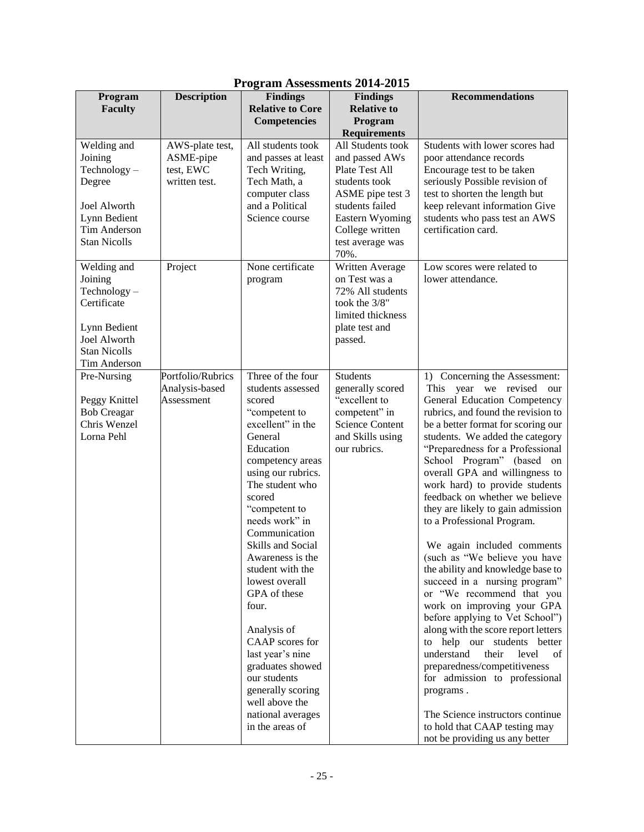| Program                                                                                                                               | <b>Description</b>                                         | $110$ $\epsilon$ and $1100$ coolinearly $201$<br><b>Findings</b>                                                                                                                                                                                                                                                                                                                                                                                                                                                           | <b>Findings</b>                                                                                                                                                                 | <b>Recommendations</b>                                                                                                                                                                                                                                                                                                                                                                                                                                                                                                                                                                                                                                                                                                                                                                                                                                                                                                                                                                    |
|---------------------------------------------------------------------------------------------------------------------------------------|------------------------------------------------------------|----------------------------------------------------------------------------------------------------------------------------------------------------------------------------------------------------------------------------------------------------------------------------------------------------------------------------------------------------------------------------------------------------------------------------------------------------------------------------------------------------------------------------|---------------------------------------------------------------------------------------------------------------------------------------------------------------------------------|-------------------------------------------------------------------------------------------------------------------------------------------------------------------------------------------------------------------------------------------------------------------------------------------------------------------------------------------------------------------------------------------------------------------------------------------------------------------------------------------------------------------------------------------------------------------------------------------------------------------------------------------------------------------------------------------------------------------------------------------------------------------------------------------------------------------------------------------------------------------------------------------------------------------------------------------------------------------------------------------|
| Faculty                                                                                                                               |                                                            | <b>Relative to Core</b><br><b>Competencies</b>                                                                                                                                                                                                                                                                                                                                                                                                                                                                             | <b>Relative to</b><br>Program                                                                                                                                                   |                                                                                                                                                                                                                                                                                                                                                                                                                                                                                                                                                                                                                                                                                                                                                                                                                                                                                                                                                                                           |
|                                                                                                                                       |                                                            |                                                                                                                                                                                                                                                                                                                                                                                                                                                                                                                            | <b>Requirements</b>                                                                                                                                                             |                                                                                                                                                                                                                                                                                                                                                                                                                                                                                                                                                                                                                                                                                                                                                                                                                                                                                                                                                                                           |
| Welding and<br>Joining<br>$Technology -$<br>Degree<br><b>Joel Alworth</b><br>Lynn Bedient<br>Tim Anderson<br><b>Stan Nicolls</b>      | AWS-plate test,<br>ASME-pipe<br>test, EWC<br>written test. | All students took<br>and passes at least<br>Tech Writing,<br>Tech Math, a<br>computer class<br>and a Political<br>Science course                                                                                                                                                                                                                                                                                                                                                                                           | All Students took<br>and passed AWs<br>Plate Test All<br>students took<br>ASME pipe test 3<br>students failed<br>Eastern Wyoming<br>College written<br>test average was<br>70%. | Students with lower scores had<br>poor attendance records<br>Encourage test to be taken<br>seriously Possible revision of<br>test to shorten the length but<br>keep relevant information Give<br>students who pass test an AWS<br>certification card.                                                                                                                                                                                                                                                                                                                                                                                                                                                                                                                                                                                                                                                                                                                                     |
| Welding and<br>Joining<br>$Technology -$<br>Certificate<br>Lynn Bedient<br><b>Joel Alworth</b><br><b>Stan Nicolls</b><br>Tim Anderson | Project                                                    | None certificate<br>program                                                                                                                                                                                                                                                                                                                                                                                                                                                                                                | Written Average<br>on Test was a<br>72% All students<br>took the 3/8"<br>limited thickness<br>plate test and<br>passed.                                                         | Low scores were related to<br>lower attendance.                                                                                                                                                                                                                                                                                                                                                                                                                                                                                                                                                                                                                                                                                                                                                                                                                                                                                                                                           |
| Pre-Nursing<br>Peggy Knittel<br><b>Bob Creagar</b><br>Chris Wenzel<br>Lorna Pehl                                                      | Portfolio/Rubrics<br>Analysis-based<br>Assessment          | Three of the four<br>students assessed<br>scored<br>"competent to<br>excellent" in the<br>General<br>Education<br>competency areas<br>using our rubrics.<br>The student who<br>scored<br>"competent to<br>needs work" in<br>Communication<br>Skills and Social<br>Awareness is the<br>student with the<br>lowest overall<br>GPA of these<br>four.<br>Analysis of<br>CAAP scores for<br>last year's nine<br>graduates showed<br>our students<br>generally scoring<br>well above the<br>national averages<br>in the areas of | <b>Students</b><br>generally scored<br>"excellent to<br>competent" in<br><b>Science Content</b><br>and Skills using<br>our rubrics.                                             | 1) Concerning the Assessment:<br>This year we revised<br>our<br>General Education Competency<br>rubrics, and found the revision to<br>be a better format for scoring our<br>students. We added the category<br>"Preparedness for a Professional<br>School Program" (based on<br>overall GPA and willingness to<br>work hard) to provide students<br>feedback on whether we believe<br>they are likely to gain admission<br>to a Professional Program.<br>We again included comments<br>(such as "We believe you have<br>the ability and knowledge base to<br>succeed in a nursing program"<br>or "We recommend that you<br>work on improving your GPA<br>before applying to Vet School")<br>along with the score report letters<br>to help our students better<br>understand<br>their<br>level<br>of<br>preparedness/competitiveness<br>for admission to professional<br>programs.<br>The Science instructors continue<br>to hold that CAAP testing may<br>not be providing us any better |

#### **Program Assessments 2014-2015**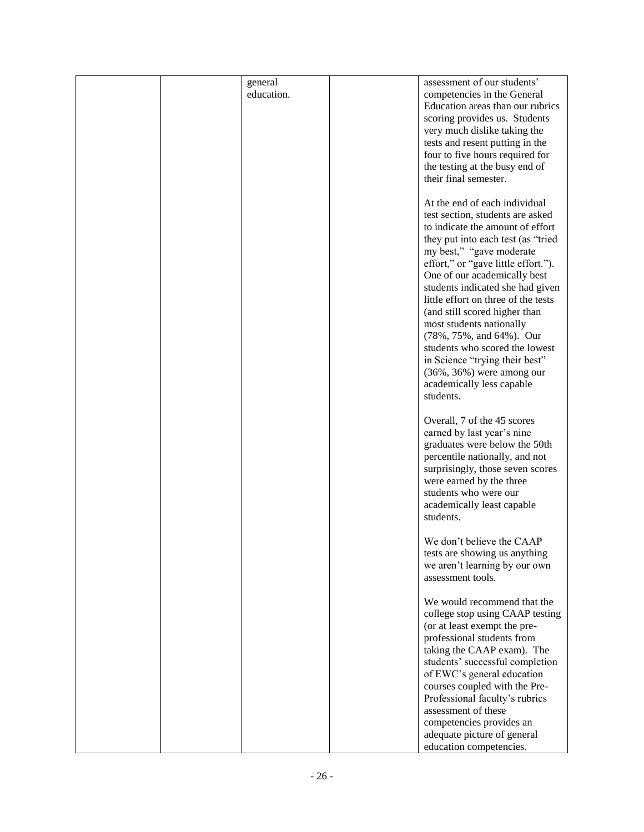|  | general    | assessment of our students'         |
|--|------------|-------------------------------------|
|  | education. | competencies in the General         |
|  |            | Education areas than our rubrics    |
|  |            | scoring provides us. Students       |
|  |            |                                     |
|  |            | very much dislike taking the        |
|  |            | tests and resent putting in the     |
|  |            | four to five hours required for     |
|  |            | the testing at the busy end of      |
|  |            | their final semester.               |
|  |            |                                     |
|  |            |                                     |
|  |            | At the end of each individual       |
|  |            | test section, students are asked    |
|  |            | to indicate the amount of effort    |
|  |            | they put into each test (as "tried  |
|  |            | my best," "gave moderate            |
|  |            |                                     |
|  |            | effort," or "gave little effort."). |
|  |            | One of our academically best        |
|  |            | students indicated she had given    |
|  |            | little effort on three of the tests |
|  |            | (and still scored higher than       |
|  |            | most students nationally            |
|  |            | (78%, 75%, and 64%). Our            |
|  |            |                                     |
|  |            | students who scored the lowest      |
|  |            | in Science "trying their best"      |
|  |            | $(36\%, 36\%)$ were among our       |
|  |            | academically less capable           |
|  |            | students.                           |
|  |            |                                     |
|  |            |                                     |
|  |            | Overall, 7 of the 45 scores         |
|  |            | earned by last year's nine          |
|  |            | graduates were below the 50th       |
|  |            | percentile nationally, and not      |
|  |            | surprisingly, those seven scores    |
|  |            | were earned by the three            |
|  |            | students who were our               |
|  |            |                                     |
|  |            | academically least capable          |
|  |            | students.                           |
|  |            |                                     |
|  |            | We don't believe the CAAP           |
|  |            | tests are showing us anything       |
|  |            | we aren't learning by our own       |
|  |            | assessment tools.                   |
|  |            |                                     |
|  |            |                                     |
|  |            | We would recommend that the         |
|  |            | college stop using CAAP testing     |
|  |            | (or at least exempt the pre-        |
|  |            | professional students from          |
|  |            | taking the CAAP exam). The          |
|  |            |                                     |
|  |            | students' successful completion     |
|  |            | of EWC's general education          |
|  |            | courses coupled with the Pre-       |
|  |            | Professional faculty's rubrics      |
|  |            | assessment of these                 |
|  |            | competencies provides an            |
|  |            |                                     |
|  |            | adequate picture of general         |
|  |            | education competencies.             |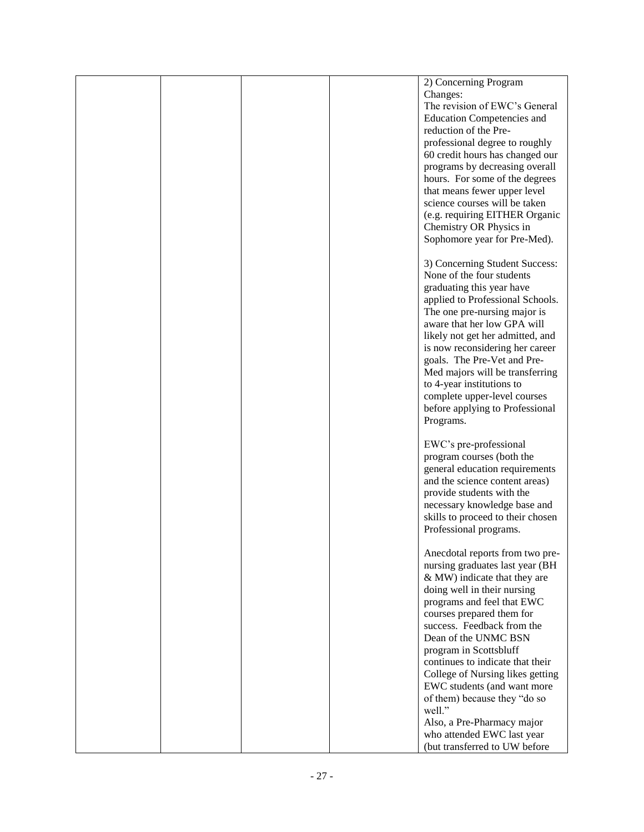|  |  | 2) Concerning Program             |
|--|--|-----------------------------------|
|  |  | Changes:                          |
|  |  | The revision of EWC's General     |
|  |  | <b>Education Competencies and</b> |
|  |  | reduction of the Pre-             |
|  |  | professional degree to roughly    |
|  |  | 60 credit hours has changed our   |
|  |  | programs by decreasing overall    |
|  |  | hours. For some of the degrees    |
|  |  | that means fewer upper level      |
|  |  | science courses will be taken     |
|  |  |                                   |
|  |  | (e.g. requiring EITHER Organic    |
|  |  | Chemistry OR Physics in           |
|  |  | Sophomore year for Pre-Med).      |
|  |  |                                   |
|  |  | 3) Concerning Student Success:    |
|  |  | None of the four students         |
|  |  | graduating this year have         |
|  |  | applied to Professional Schools.  |
|  |  | The one pre-nursing major is      |
|  |  | aware that her low GPA will       |
|  |  | likely not get her admitted, and  |
|  |  | is now reconsidering her career   |
|  |  | goals. The Pre-Vet and Pre-       |
|  |  | Med majors will be transferring   |
|  |  | to 4-year institutions to         |
|  |  | complete upper-level courses      |
|  |  | before applying to Professional   |
|  |  |                                   |
|  |  | Programs.                         |
|  |  |                                   |
|  |  | EWC's pre-professional            |
|  |  | program courses (both the         |
|  |  | general education requirements    |
|  |  | and the science content areas)    |
|  |  | provide students with the         |
|  |  | necessary knowledge base and      |
|  |  | skills to proceed to their chosen |
|  |  | Professional programs.            |
|  |  |                                   |
|  |  | Anecdotal reports from two pre-   |
|  |  | nursing graduates last year (BH   |
|  |  | & MW) indicate that they are      |
|  |  | doing well in their nursing       |
|  |  | programs and feel that EWC        |
|  |  | courses prepared them for         |
|  |  | success. Feedback from the        |
|  |  | Dean of the UNMC BSN              |
|  |  |                                   |
|  |  | program in Scottsbluff            |
|  |  | continues to indicate that their  |
|  |  | College of Nursing likes getting  |
|  |  | EWC students (and want more       |
|  |  | of them) because they "do so      |
|  |  | well."                            |
|  |  | Also, a Pre-Pharmacy major        |
|  |  | who attended EWC last year        |
|  |  | (but transferred to UW before     |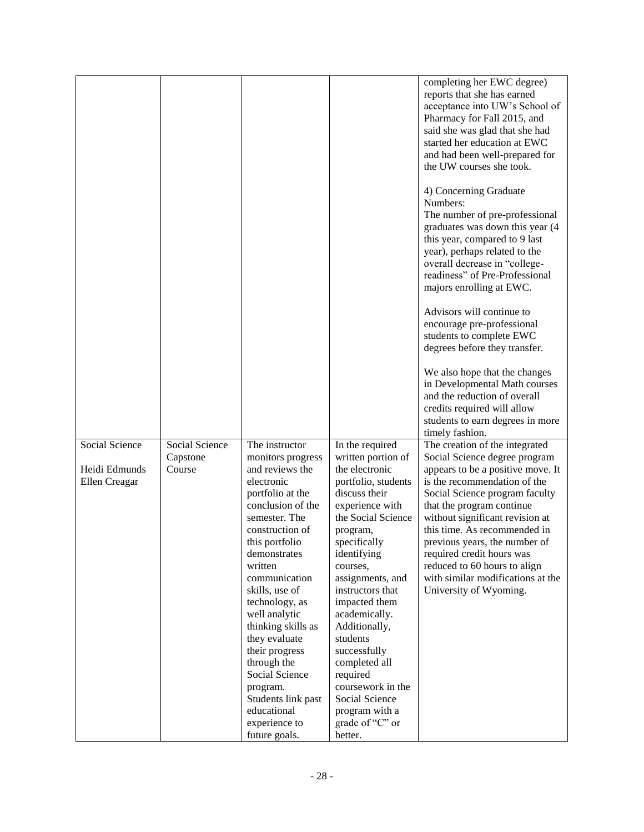|                |                |                                       |                                     | completing her EWC degree)<br>reports that she has earned         |
|----------------|----------------|---------------------------------------|-------------------------------------|-------------------------------------------------------------------|
|                |                |                                       |                                     | acceptance into UW's School of                                    |
|                |                |                                       |                                     | Pharmacy for Fall 2015, and                                       |
|                |                |                                       |                                     | said she was glad that she had                                    |
|                |                |                                       |                                     | started her education at EWC                                      |
|                |                |                                       |                                     | and had been well-prepared for                                    |
|                |                |                                       |                                     | the UW courses she took.                                          |
|                |                |                                       |                                     | 4) Concerning Graduate                                            |
|                |                |                                       |                                     | Numbers:                                                          |
|                |                |                                       |                                     | The number of pre-professional<br>graduates was down this year (4 |
|                |                |                                       |                                     | this year, compared to 9 last                                     |
|                |                |                                       |                                     | year), perhaps related to the                                     |
|                |                |                                       |                                     | overall decrease in "college-                                     |
|                |                |                                       |                                     | readiness" of Pre-Professional                                    |
|                |                |                                       |                                     | majors enrolling at EWC.                                          |
|                |                |                                       |                                     | Advisors will continue to                                         |
|                |                |                                       |                                     | encourage pre-professional                                        |
|                |                |                                       |                                     | students to complete EWC                                          |
|                |                |                                       |                                     | degrees before they transfer.                                     |
|                |                |                                       |                                     | We also hope that the changes                                     |
|                |                |                                       |                                     | in Developmental Math courses                                     |
|                |                |                                       |                                     | and the reduction of overall                                      |
|                |                |                                       |                                     | credits required will allow<br>students to earn degrees in more   |
|                |                |                                       |                                     | timely fashion.                                                   |
| Social Science | Social Science | The instructor                        | In the required                     | The creation of the integrated                                    |
|                | Capstone       | monitors progress                     | written portion of                  | Social Science degree program                                     |
| Heidi Edmunds  | Course         | and reviews the                       | the electronic                      | appears to be a positive move. It                                 |
| Ellen Creagar  |                | electronic                            | portfolio, students                 | is the recommendation of the                                      |
|                |                | portfolio at the<br>conclusion of the | discuss their<br>experience with    | Social Science program faculty<br>that the program continue       |
|                |                | semester. The                         | the Social Science                  | without significant revision at                                   |
|                |                | construction of                       | program,                            | this time. As recommended in                                      |
|                |                | this portfolio                        | specifically                        | previous years, the number of                                     |
|                |                | demonstrates                          | identifying                         | required credit hours was                                         |
|                |                | written                               | courses,                            | reduced to 60 hours to align                                      |
|                |                | communication                         | assignments, and                    | with similar modifications at the                                 |
|                |                | skills, use of<br>technology, as      | instructors that<br>impacted them   | University of Wyoming.                                            |
|                |                | well analytic                         | academically.                       |                                                                   |
|                |                | thinking skills as                    | Additionally,                       |                                                                   |
|                |                | they evaluate                         | students                            |                                                                   |
|                |                | their progress                        | successfully                        |                                                                   |
|                |                | through the                           | completed all                       |                                                                   |
|                |                | Social Science                        | required                            |                                                                   |
|                |                | program.<br>Students link past        | coursework in the<br>Social Science |                                                                   |
|                |                | educational                           | program with a                      |                                                                   |
|                |                | experience to                         | grade of "C" or                     |                                                                   |
|                |                | future goals.                         | better.                             |                                                                   |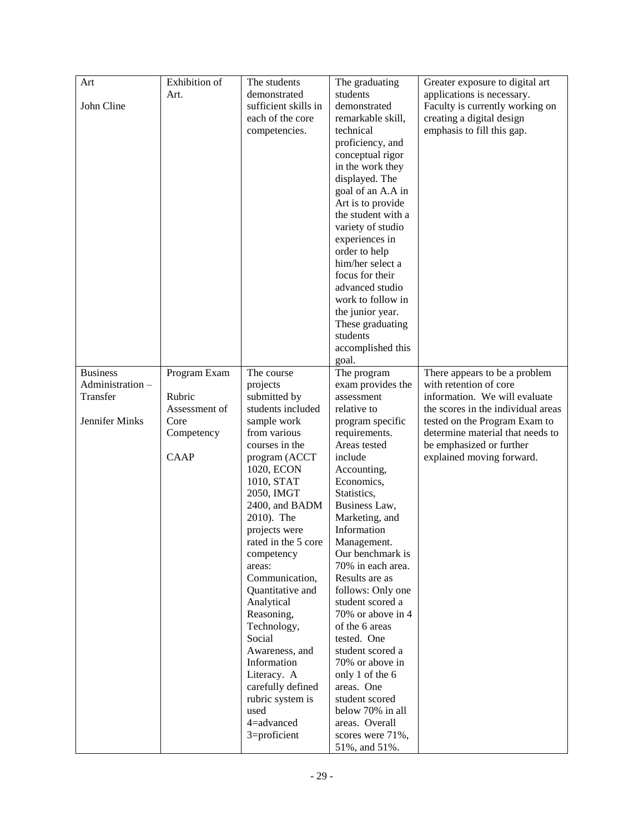| Art              | Exhibition of | The students         | The graduating     | Greater exposure to digital art    |
|------------------|---------------|----------------------|--------------------|------------------------------------|
|                  | Art.          | demonstrated         | students           | applications is necessary.         |
| John Cline       |               | sufficient skills in | demonstrated       | Faculty is currently working on    |
|                  |               | each of the core     | remarkable skill,  | creating a digital design          |
|                  |               | competencies.        | technical          | emphasis to fill this gap.         |
|                  |               |                      |                    |                                    |
|                  |               |                      | proficiency, and   |                                    |
|                  |               |                      | conceptual rigor   |                                    |
|                  |               |                      | in the work they   |                                    |
|                  |               |                      | displayed. The     |                                    |
|                  |               |                      | goal of an A.A in  |                                    |
|                  |               |                      | Art is to provide  |                                    |
|                  |               |                      | the student with a |                                    |
|                  |               |                      | variety of studio  |                                    |
|                  |               |                      | experiences in     |                                    |
|                  |               |                      | order to help      |                                    |
|                  |               |                      | him/her select a   |                                    |
|                  |               |                      | focus for their    |                                    |
|                  |               |                      | advanced studio    |                                    |
|                  |               |                      | work to follow in  |                                    |
|                  |               |                      | the junior year.   |                                    |
|                  |               |                      | These graduating   |                                    |
|                  |               |                      | students           |                                    |
|                  |               |                      | accomplished this  |                                    |
|                  |               |                      | goal.              |                                    |
| <b>Business</b>  | Program Exam  | The course           | The program        | There appears to be a problem      |
| Administration - |               | projects             | exam provides the  | with retention of core             |
| Transfer         | Rubric        | submitted by         | assessment         | information. We will evaluate      |
|                  | Assessment of | students included    | relative to        | the scores in the individual areas |
| Jennifer Minks   | Core          | sample work          | program specific   | tested on the Program Exam to      |
|                  | Competency    | from various         | requirements.      | determine material that needs to   |
|                  |               | courses in the       | Areas tested       | be emphasized or further           |
|                  | CAAP          | program (ACCT        | include            | explained moving forward.          |
|                  |               | 1020, ECON           | Accounting,        |                                    |
|                  |               | 1010, STAT           | Economics,         |                                    |
|                  |               | 2050, IMGT           | Statistics,        |                                    |
|                  |               | 2400, and BADM       | Business Law,      |                                    |
|                  |               | 2010). The           | Marketing, and     |                                    |
|                  |               | projects were        | Information        |                                    |
|                  |               | rated in the 5 core  | Management.        |                                    |
|                  |               | competency           | Our benchmark is   |                                    |
|                  |               | areas:               | 70% in each area.  |                                    |
|                  |               | Communication,       | Results are as     |                                    |
|                  |               | Quantitative and     | follows: Only one  |                                    |
|                  |               | Analytical           | student scored a   |                                    |
|                  |               | Reasoning,           | 70% or above in 4  |                                    |
|                  |               | Technology,          | of the 6 areas     |                                    |
|                  |               | Social               | tested. One        |                                    |
|                  |               | Awareness, and       | student scored a   |                                    |
|                  |               | Information          | 70% or above in    |                                    |
|                  |               | Literacy. A          | only 1 of the 6    |                                    |
|                  |               | carefully defined    | areas. One         |                                    |
|                  |               | rubric system is     | student scored     |                                    |
|                  |               | used                 | below 70% in all   |                                    |
|                  |               | 4=advanced           | areas. Overall     |                                    |
|                  |               | 3=proficient         | scores were 71%,   |                                    |
|                  |               |                      | 51%, and 51%.      |                                    |
|                  |               |                      |                    |                                    |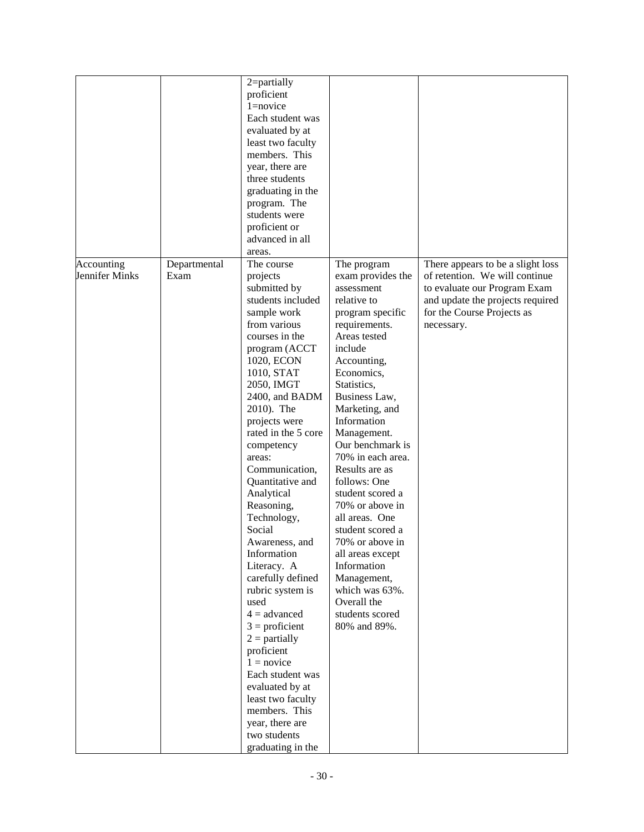|                              |                      | 2=partially<br>proficient<br>$1 =$ novice<br>Each student was<br>evaluated by at<br>least two faculty<br>members. This<br>year, there are<br>three students<br>graduating in the<br>program. The<br>students were<br>proficient or<br>advanced in all<br>areas.                                                                                                                                                                                                                                                                                                                                                                                                                                        |                                                                                                                                                                                                                                                                                                                                                                                                                                                                                                                                             |                                                                                                                                                                                     |
|------------------------------|----------------------|--------------------------------------------------------------------------------------------------------------------------------------------------------------------------------------------------------------------------------------------------------------------------------------------------------------------------------------------------------------------------------------------------------------------------------------------------------------------------------------------------------------------------------------------------------------------------------------------------------------------------------------------------------------------------------------------------------|---------------------------------------------------------------------------------------------------------------------------------------------------------------------------------------------------------------------------------------------------------------------------------------------------------------------------------------------------------------------------------------------------------------------------------------------------------------------------------------------------------------------------------------------|-------------------------------------------------------------------------------------------------------------------------------------------------------------------------------------|
| Accounting<br>Jennifer Minks | Departmental<br>Exam | The course<br>projects<br>submitted by<br>students included<br>sample work<br>from various<br>courses in the<br>program (ACCT<br>1020, ECON<br>1010, STAT<br>2050, IMGT<br>2400, and BADM<br>2010). The<br>projects were<br>rated in the 5 core<br>competency<br>areas:<br>Communication,<br>Quantitative and<br>Analytical<br>Reasoning,<br>Technology,<br>Social<br>Awareness, and<br>Information<br>Literacy. A<br>carefully defined<br>rubric system is<br>used<br>$4 =$ advanced<br>$3 =$ proficient<br>$2 =$ partially<br>proficient<br>$1 = \text{novice}$<br>Each student was<br>evaluated by at<br>least two faculty<br>members. This<br>year, there are<br>two students<br>graduating in the | The program<br>exam provides the<br>assessment<br>relative to<br>program specific<br>requirements.<br>Areas tested<br>include<br>Accounting,<br>Economics,<br>Statistics,<br>Business Law,<br>Marketing, and<br>Information<br>Management.<br>Our benchmark is<br>70% in each area.<br>Results are as<br>follows: One<br>student scored a<br>70% or above in<br>all areas. One<br>student scored a<br>70% or above in<br>all areas except<br>Information<br>Management,<br>which was 63%.<br>Overall the<br>students scored<br>80% and 89%. | There appears to be a slight loss<br>of retention. We will continue<br>to evaluate our Program Exam<br>and update the projects required<br>for the Course Projects as<br>necessary. |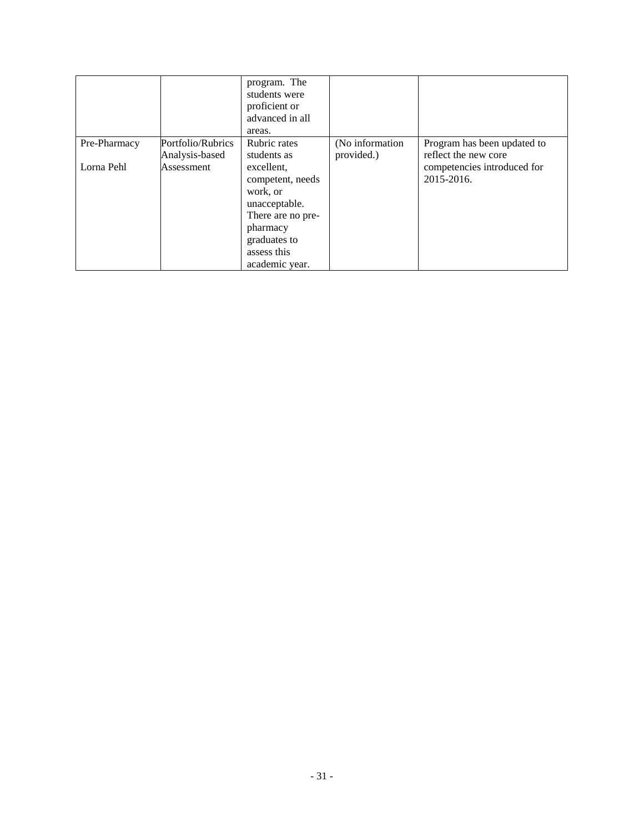|              |                   | program. The<br>students were<br>proficient or<br>advanced in all<br>areas. |                 |                             |
|--------------|-------------------|-----------------------------------------------------------------------------|-----------------|-----------------------------|
| Pre-Pharmacy | Portfolio/Rubrics | Rubric rates                                                                | (No information | Program has been updated to |
|              | Analysis-based    | students as                                                                 | provided.)      | reflect the new core        |
| Lorna Pehl   | Assessment        | excellent,                                                                  |                 | competencies introduced for |
|              |                   | competent, needs                                                            |                 | 2015-2016.                  |
|              |                   | work, or                                                                    |                 |                             |
|              |                   | unacceptable.                                                               |                 |                             |
|              |                   | There are no pre-                                                           |                 |                             |
|              |                   | pharmacy                                                                    |                 |                             |
|              |                   | graduates to                                                                |                 |                             |
|              |                   | assess this                                                                 |                 |                             |
|              |                   | academic year.                                                              |                 |                             |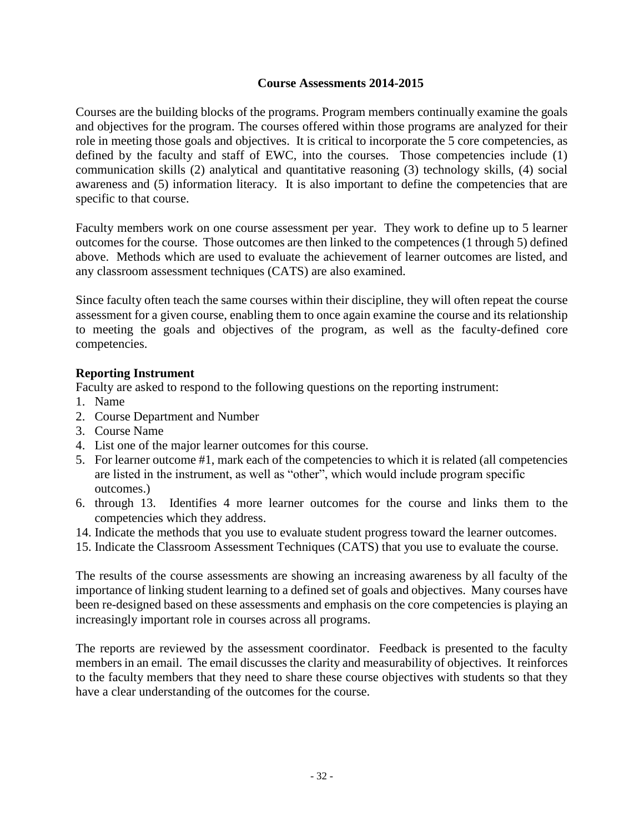#### **Course Assessments 2014-2015**

Courses are the building blocks of the programs. Program members continually examine the goals and objectives for the program. The courses offered within those programs are analyzed for their role in meeting those goals and objectives. It is critical to incorporate the 5 core competencies, as defined by the faculty and staff of EWC, into the courses. Those competencies include (1) communication skills (2) analytical and quantitative reasoning (3) technology skills, (4) social awareness and (5) information literacy. It is also important to define the competencies that are specific to that course.

Faculty members work on one course assessment per year. They work to define up to 5 learner outcomes for the course. Those outcomes are then linked to the competences (1 through 5) defined above. Methods which are used to evaluate the achievement of learner outcomes are listed, and any classroom assessment techniques (CATS) are also examined.

Since faculty often teach the same courses within their discipline, they will often repeat the course assessment for a given course, enabling them to once again examine the course and its relationship to meeting the goals and objectives of the program, as well as the faculty-defined core competencies.

#### **Reporting Instrument**

Faculty are asked to respond to the following questions on the reporting instrument:

- 1. Name
- 2. Course Department and Number
- 3. Course Name
- 4. List one of the major learner outcomes for this course.
- 5. For learner outcome #1, mark each of the competencies to which it is related (all competencies are listed in the instrument, as well as "other", which would include program specific outcomes.)
- 6. through 13. Identifies 4 more learner outcomes for the course and links them to the competencies which they address.
- 14. Indicate the methods that you use to evaluate student progress toward the learner outcomes.
- 15. Indicate the Classroom Assessment Techniques (CATS) that you use to evaluate the course.

The results of the course assessments are showing an increasing awareness by all faculty of the importance of linking student learning to a defined set of goals and objectives. Many courses have been re-designed based on these assessments and emphasis on the core competencies is playing an increasingly important role in courses across all programs.

The reports are reviewed by the assessment coordinator. Feedback is presented to the faculty members in an email. The email discusses the clarity and measurability of objectives. It reinforces to the faculty members that they need to share these course objectives with students so that they have a clear understanding of the outcomes for the course.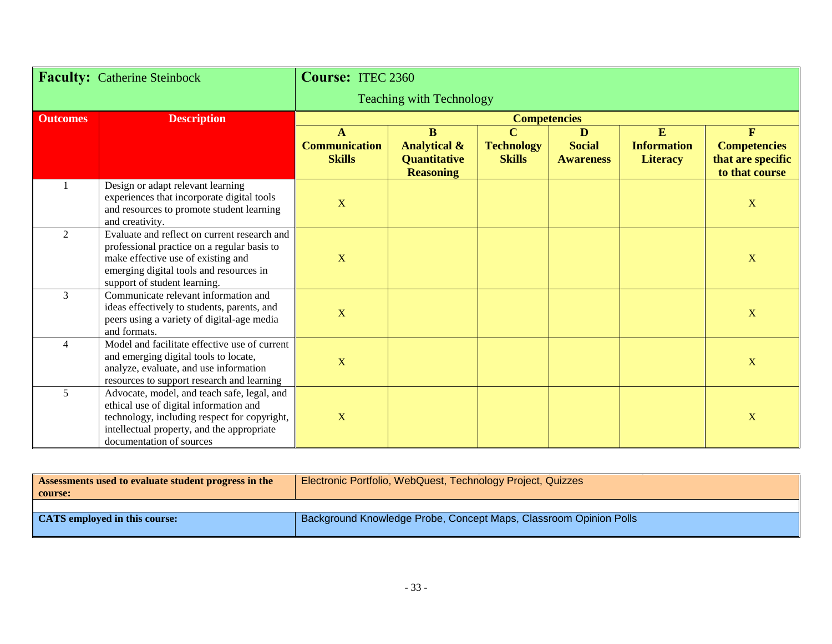| <b>Faculty:</b> Catherine Steinbock |                                                                                                                                                                                                                 | <b>Course: ITEC 2360</b>                   |                                                                                |                                                      |                                        |                                            |                                                                 |
|-------------------------------------|-----------------------------------------------------------------------------------------------------------------------------------------------------------------------------------------------------------------|--------------------------------------------|--------------------------------------------------------------------------------|------------------------------------------------------|----------------------------------------|--------------------------------------------|-----------------------------------------------------------------|
|                                     |                                                                                                                                                                                                                 | <b>Teaching with Technology</b>            |                                                                                |                                                      |                                        |                                            |                                                                 |
| <b>Outcomes</b>                     | <b>Description</b>                                                                                                                                                                                              |                                            |                                                                                | <b>Competencies</b>                                  |                                        |                                            |                                                                 |
|                                     |                                                                                                                                                                                                                 | A<br><b>Communication</b><br><b>Skills</b> | $\bf{B}$<br><b>Analytical &amp;</b><br><b>Quantitative</b><br><b>Reasoning</b> | $\overline{C}$<br><b>Technology</b><br><b>Skills</b> | D<br><b>Social</b><br><b>Awareness</b> | E<br><b>Information</b><br><b>Literacy</b> | F<br><b>Competencies</b><br>that are specific<br>to that course |
|                                     | Design or adapt relevant learning<br>experiences that incorporate digital tools<br>and resources to promote student learning<br>and creativity.                                                                 | $\mathbf X$                                |                                                                                |                                                      |                                        |                                            | $\mathbf X$                                                     |
| $\mathfrak{D}$                      | Evaluate and reflect on current research and<br>professional practice on a regular basis to<br>make effective use of existing and<br>emerging digital tools and resources in<br>support of student learning.    | $\mathbf X$                                |                                                                                |                                                      |                                        |                                            | $\mathbf X$                                                     |
| $\overline{3}$                      | Communicate relevant information and<br>ideas effectively to students, parents, and<br>peers using a variety of digital-age media<br>and formats.                                                               | $\mathbf X$                                |                                                                                |                                                      |                                        |                                            | $\mathbf X$                                                     |
| 4                                   | Model and facilitate effective use of current<br>and emerging digital tools to locate,<br>analyze, evaluate, and use information<br>resources to support research and learning                                  | $\mathbf X$                                |                                                                                |                                                      |                                        |                                            | X                                                               |
| 5                                   | Advocate, model, and teach safe, legal, and<br>ethical use of digital information and<br>technology, including respect for copyright,<br>intellectual property, and the appropriate<br>documentation of sources | X                                          |                                                                                |                                                      |                                        |                                            | X                                                               |

| Assessments used to evaluate student progress in the<br>course: | Electronic Portfolio, WebQuest, Technology Project, Quizzes       |
|-----------------------------------------------------------------|-------------------------------------------------------------------|
|                                                                 |                                                                   |
| <b>CATS</b> employed in this course:                            | Background Knowledge Probe, Concept Maps, Classroom Opinion Polls |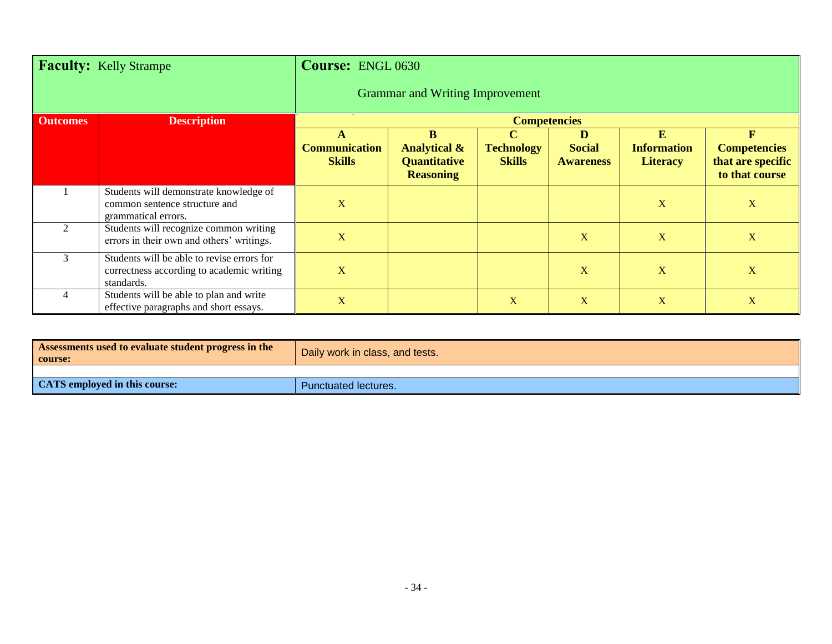| Faculty: Kelly Strampe |                                                                                                       | <b>Course: ENGL 0630</b>              |                                                                         |                                               |                                        |                                            |                                                                           |
|------------------------|-------------------------------------------------------------------------------------------------------|---------------------------------------|-------------------------------------------------------------------------|-----------------------------------------------|----------------------------------------|--------------------------------------------|---------------------------------------------------------------------------|
|                        |                                                                                                       |                                       | <b>Grammar and Writing Improvement</b>                                  |                                               |                                        |                                            |                                                                           |
| <b>Outcomes</b>        | <b>Description</b>                                                                                    |                                       |                                                                         | <b>Competencies</b>                           |                                        |                                            |                                                                           |
|                        |                                                                                                       | <b>Communication</b><br><b>Skills</b> | B<br><b>Analytical &amp;</b><br><b>Quantitative</b><br><b>Reasoning</b> | $\bf C$<br><b>Technology</b><br><b>Skills</b> | D<br><b>Social</b><br><b>Awareness</b> | E<br><b>Information</b><br><b>Literacy</b> | $\mathbf F$<br><b>Competencies</b><br>that are specific<br>to that course |
|                        | Students will demonstrate knowledge of<br>common sentence structure and<br>grammatical errors.        | $\mathbf X$                           |                                                                         |                                               |                                        | X                                          | $\mathbf X$                                                               |
| 2                      | Students will recognize common writing<br>errors in their own and others' writings.                   | $\mathbf X$                           |                                                                         |                                               | X                                      | X                                          | $\mathbf X$                                                               |
| 3                      | Students will be able to revise errors for<br>correctness according to academic writing<br>standards. | $\overline{\mathbf{X}}$               |                                                                         |                                               | X                                      | $\mathbf{X}$                               | X                                                                         |
| 4                      | Students will be able to plan and write<br>effective paragraphs and short essays.                     | $\mathbf X$                           |                                                                         | X                                             | X                                      | $\mathbf X$                                | X                                                                         |

| Assessments used to evaluate student progress in the<br>course: | Daily work in class, and tests. |
|-----------------------------------------------------------------|---------------------------------|
|                                                                 |                                 |
| CATS employed in this course:                                   | <b>Punctuated lectures.</b>     |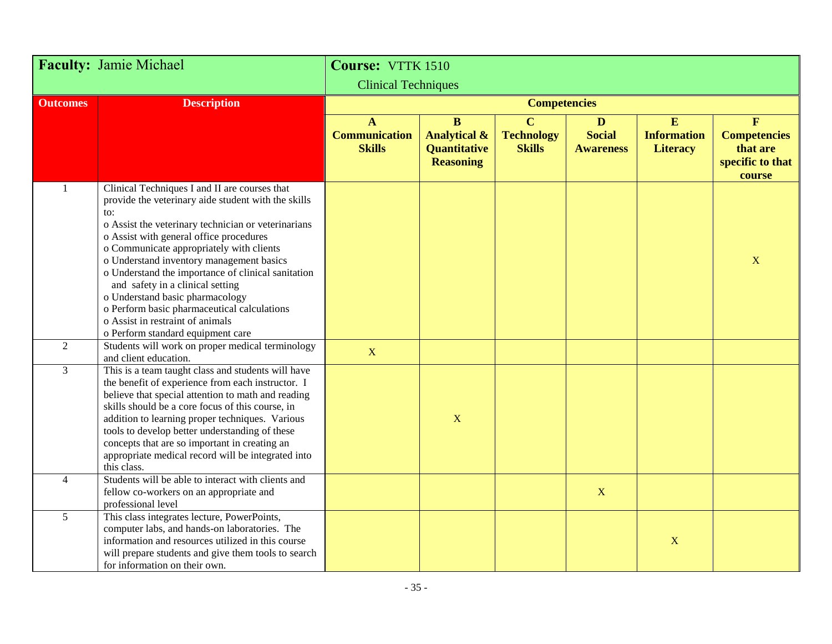|                 | <b>Faculty: Jamie Michael</b>                                                                                                                                                                                                                                                                                                                                                                                                                                                                                                                              | Course: VTTK 1510                                     |                                                                             |                                                      |                                                   |                                            |                                                                               |
|-----------------|------------------------------------------------------------------------------------------------------------------------------------------------------------------------------------------------------------------------------------------------------------------------------------------------------------------------------------------------------------------------------------------------------------------------------------------------------------------------------------------------------------------------------------------------------------|-------------------------------------------------------|-----------------------------------------------------------------------------|------------------------------------------------------|---------------------------------------------------|--------------------------------------------|-------------------------------------------------------------------------------|
|                 |                                                                                                                                                                                                                                                                                                                                                                                                                                                                                                                                                            | <b>Clinical Techniques</b>                            |                                                                             |                                                      |                                                   |                                            |                                                                               |
| <b>Outcomes</b> | <b>Description</b>                                                                                                                                                                                                                                                                                                                                                                                                                                                                                                                                         |                                                       |                                                                             | <b>Competencies</b>                                  |                                                   |                                            |                                                                               |
|                 |                                                                                                                                                                                                                                                                                                                                                                                                                                                                                                                                                            | $\mathbf{A}$<br><b>Communication</b><br><b>Skills</b> | $\mathbf{B}$<br><b>Analytical &amp;</b><br>Quantitative<br><b>Reasoning</b> | $\overline{C}$<br><b>Technology</b><br><b>Skills</b> | $\mathbf{D}$<br><b>Social</b><br><b>Awareness</b> | E<br><b>Information</b><br><b>Literacy</b> | $\mathbf{F}$<br><b>Competencies</b><br>that are<br>specific to that<br>course |
|                 | Clinical Techniques I and II are courses that<br>provide the veterinary aide student with the skills<br>to:<br>o Assist the veterinary technician or veterinarians<br>o Assist with general office procedures<br>o Communicate appropriately with clients<br>o Understand inventory management basics<br>o Understand the importance of clinical sanitation<br>and safety in a clinical setting<br>o Understand basic pharmacology<br>o Perform basic pharmaceutical calculations<br>o Assist in restraint of animals<br>o Perform standard equipment care |                                                       |                                                                             |                                                      |                                                   |                                            | $\mathbf X$                                                                   |
| $\overline{2}$  | Students will work on proper medical terminology<br>and client education.                                                                                                                                                                                                                                                                                                                                                                                                                                                                                  | $\mathbf X$                                           |                                                                             |                                                      |                                                   |                                            |                                                                               |
| 3               | This is a team taught class and students will have<br>the benefit of experience from each instructor. I<br>believe that special attention to math and reading<br>skills should be a core focus of this course, in<br>addition to learning proper techniques. Various<br>tools to develop better understanding of these<br>concepts that are so important in creating an<br>appropriate medical record will be integrated into<br>this class.                                                                                                               |                                                       | $\mathbf X$                                                                 |                                                      |                                                   |                                            |                                                                               |
| $\overline{4}$  | Students will be able to interact with clients and<br>fellow co-workers on an appropriate and<br>professional level                                                                                                                                                                                                                                                                                                                                                                                                                                        |                                                       |                                                                             |                                                      | X                                                 |                                            |                                                                               |
| 5               | This class integrates lecture, PowerPoints,<br>computer labs, and hands-on laboratories. The<br>information and resources utilized in this course<br>will prepare students and give them tools to search<br>for information on their own.                                                                                                                                                                                                                                                                                                                  |                                                       |                                                                             |                                                      |                                                   | $\mathbf X$                                |                                                                               |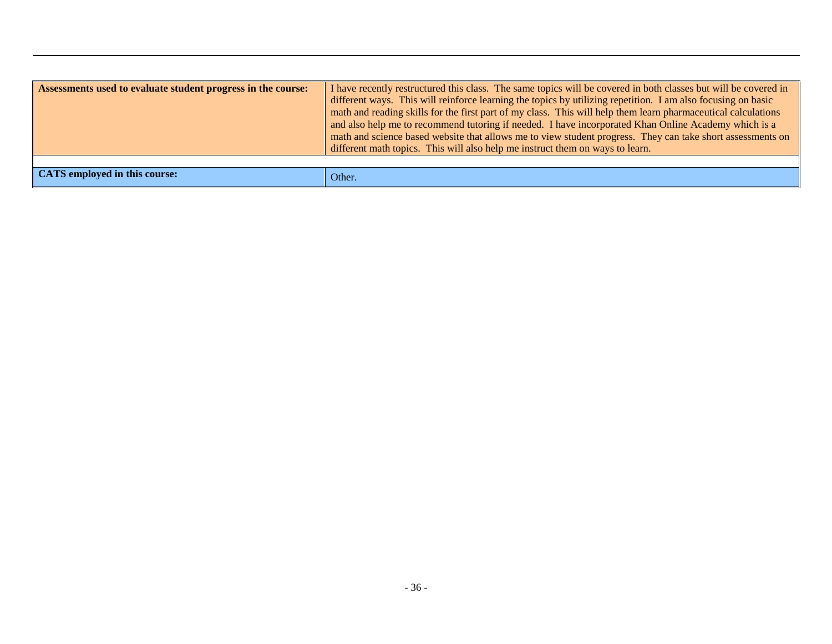| Assessments used to evaluate student progress in the course: | I have recently restructured this class. The same topics will be covered in both classes but will be covered in<br>different ways. This will reinforce learning the topics by utilizing repetition. I am also focusing on basic<br>math and reading skills for the first part of my class. This will help them learn pharmaceutical calculations<br>and also help me to recommend tutoring if needed. I have incorporated Khan Online Academy which is a<br>math and science based website that allows me to view student progress. They can take short assessments on<br>different math topics. This will also help me instruct them on ways to learn. |
|--------------------------------------------------------------|---------------------------------------------------------------------------------------------------------------------------------------------------------------------------------------------------------------------------------------------------------------------------------------------------------------------------------------------------------------------------------------------------------------------------------------------------------------------------------------------------------------------------------------------------------------------------------------------------------------------------------------------------------|
|                                                              |                                                                                                                                                                                                                                                                                                                                                                                                                                                                                                                                                                                                                                                         |
| <b>CATS</b> employed in this course:                         | Other.                                                                                                                                                                                                                                                                                                                                                                                                                                                                                                                                                                                                                                                  |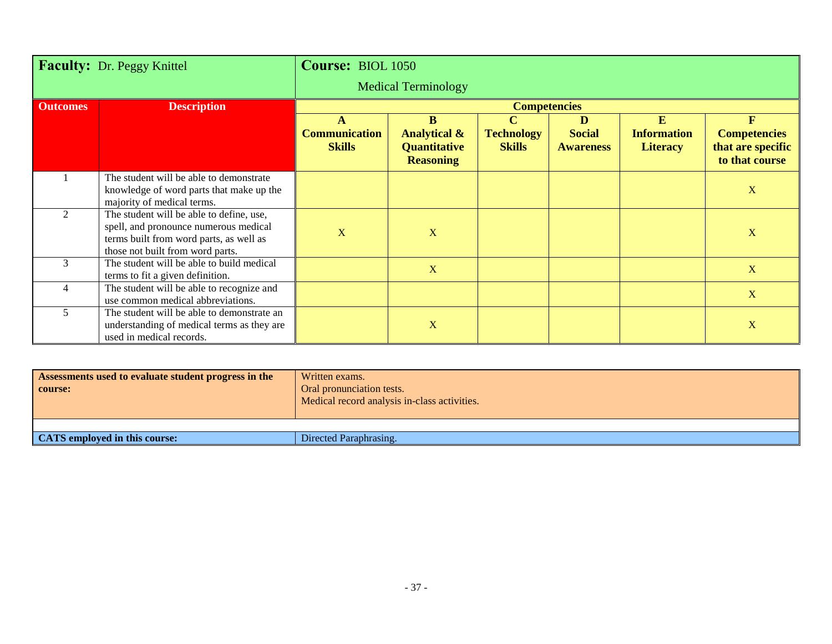| Faculty: Dr. Peggy Knittel |                                                                                                                                                                  | Course: BIOL 1050                     |                                                                    |                                    |                                   |                                       |                                                            |
|----------------------------|------------------------------------------------------------------------------------------------------------------------------------------------------------------|---------------------------------------|--------------------------------------------------------------------|------------------------------------|-----------------------------------|---------------------------------------|------------------------------------------------------------|
|                            |                                                                                                                                                                  | <b>Medical Terminology</b>            |                                                                    |                                    |                                   |                                       |                                                            |
| <b>Outcomes</b>            | <b>Description</b>                                                                                                                                               | <b>Competencies</b>                   |                                                                    |                                    |                                   |                                       |                                                            |
|                            |                                                                                                                                                                  | A                                     | B                                                                  | $\mathbf C$                        | D                                 | E                                     | F                                                          |
|                            |                                                                                                                                                                  | <b>Communication</b><br><b>Skills</b> | <b>Analytical &amp;</b><br><b>Quantitative</b><br><b>Reasoning</b> | <b>Technology</b><br><b>Skills</b> | <b>Social</b><br><b>Awareness</b> | <b>Information</b><br><b>Literacy</b> | <b>Competencies</b><br>that are specific<br>to that course |
|                            | The student will be able to demonstrate<br>knowledge of word parts that make up the<br>majority of medical terms.                                                |                                       |                                                                    |                                    |                                   |                                       | $\mathbf{X}$                                               |
| 2                          | The student will be able to define, use,<br>spell, and pronounce numerous medical<br>terms built from word parts, as well as<br>those not built from word parts. | X                                     | X                                                                  |                                    |                                   |                                       | $\mathbf X$                                                |
| 3                          | The student will be able to build medical<br>terms to fit a given definition.                                                                                    |                                       | $\mathbf X$                                                        |                                    |                                   |                                       | X                                                          |
| $\overline{\mathcal{A}}$   | The student will be able to recognize and<br>use common medical abbreviations.                                                                                   |                                       |                                                                    |                                    |                                   |                                       | X                                                          |
| 5                          | The student will be able to demonstrate an<br>understanding of medical terms as they are<br>used in medical records.                                             |                                       | X                                                                  |                                    |                                   |                                       | $\mathbf{X}$                                               |

| Assessments used to evaluate student progress in the<br>course: | Written exams.<br>Oral pronunciation tests.<br>Medical record analysis in-class activities. |  |  |  |  |
|-----------------------------------------------------------------|---------------------------------------------------------------------------------------------|--|--|--|--|
|                                                                 |                                                                                             |  |  |  |  |
| <b>CATS</b> employed in this course:                            | Directed Paraphrasing.                                                                      |  |  |  |  |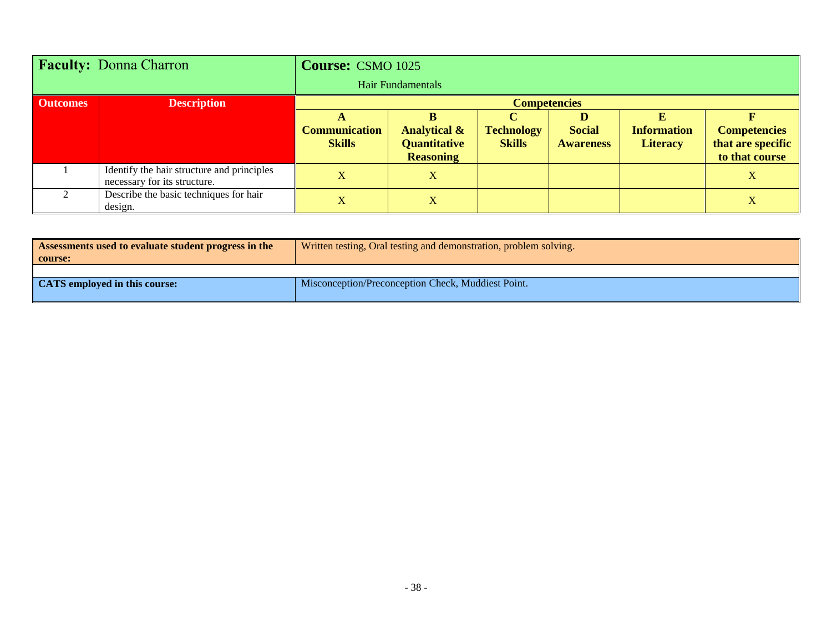| <b>Faculty: Donna Charron</b> |                                                                            | <b>Course: CSMO 1025</b><br>Hair Fundamentals |                                         |                   |                  |                    |                                     |
|-------------------------------|----------------------------------------------------------------------------|-----------------------------------------------|-----------------------------------------|-------------------|------------------|--------------------|-------------------------------------|
| <b>Outcomes</b>               | <b>Description</b>                                                         | <b>Competencies</b>                           |                                         |                   |                  |                    |                                     |
|                               |                                                                            |                                               |                                         |                   | D                |                    |                                     |
|                               |                                                                            | <b>Communication</b>                          | <b>Analytical &amp;</b>                 | <b>Technology</b> | <b>Social</b>    | <b>Information</b> | <b>Competencies</b>                 |
|                               |                                                                            | <b>Skills</b>                                 | <b>Quantitative</b><br><b>Reasoning</b> | <b>Skills</b>     | <b>Awareness</b> | <b>Literacy</b>    | that are specific<br>to that course |
|                               | Identify the hair structure and principles<br>necessary for its structure. | $\overline{\mathbf{X}}$                       | X                                       |                   |                  |                    | X                                   |
|                               | Describe the basic techniques for hair<br>design.                          | X                                             | X                                       |                   |                  |                    | X                                   |

| Assessments used to evaluate student progress in the<br>course: | Written testing, Oral testing and demonstration, problem solving. |  |  |  |  |
|-----------------------------------------------------------------|-------------------------------------------------------------------|--|--|--|--|
|                                                                 |                                                                   |  |  |  |  |
| CATS employed in this course:                                   | Misconception/Preconception Check, Muddiest Point.                |  |  |  |  |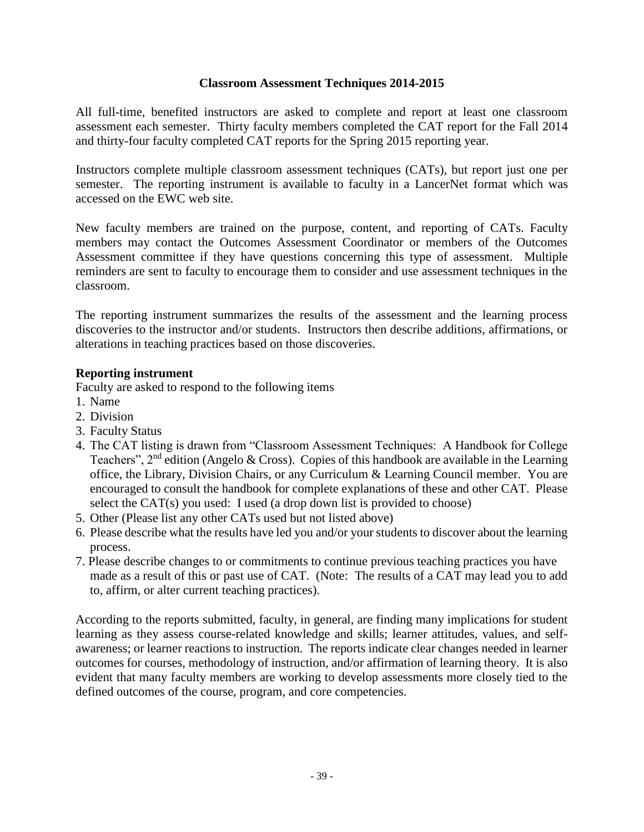#### **Classroom Assessment Techniques 2014-2015**

All full-time, benefited instructors are asked to complete and report at least one classroom assessment each semester. Thirty faculty members completed the CAT report for the Fall 2014 and thirty-four faculty completed CAT reports for the Spring 2015 reporting year.

Instructors complete multiple classroom assessment techniques (CATs), but report just one per semester. The reporting instrument is available to faculty in a LancerNet format which was accessed on the EWC web site.

New faculty members are trained on the purpose, content, and reporting of CATs. Faculty members may contact the Outcomes Assessment Coordinator or members of the Outcomes Assessment committee if they have questions concerning this type of assessment. Multiple reminders are sent to faculty to encourage them to consider and use assessment techniques in the classroom.

The reporting instrument summarizes the results of the assessment and the learning process discoveries to the instructor and/or students. Instructors then describe additions, affirmations, or alterations in teaching practices based on those discoveries.

#### **Reporting instrument**

Faculty are asked to respond to the following items

- 1. Name
- 2. Division
- 3. Faculty Status
- 4. The CAT listing is drawn from "Classroom Assessment Techniques: A Handbook for College Teachers",  $2<sup>nd</sup>$  edition (Angelo & Cross). Copies of this handbook are available in the Learning office, the Library, Division Chairs, or any Curriculum & Learning Council member. You are encouraged to consult the handbook for complete explanations of these and other CAT. Please select the CAT(s) you used: I used (a drop down list is provided to choose)
- 5. Other (Please list any other CATs used but not listed above)
- 6. Please describe what the results have led you and/or your students to discover about the learning process.
- 7. Please describe changes to or commitments to continue previous teaching practices you have made as a result of this or past use of CAT. (Note: The results of a CAT may lead you to add to, affirm, or alter current teaching practices).

According to the reports submitted, faculty, in general, are finding many implications for student learning as they assess course-related knowledge and skills; learner attitudes, values, and selfawareness; or learner reactions to instruction. The reports indicate clear changes needed in learner outcomes for courses, methodology of instruction, and/or affirmation of learning theory. It is also evident that many faculty members are working to develop assessments more closely tied to the defined outcomes of the course, program, and core competencies.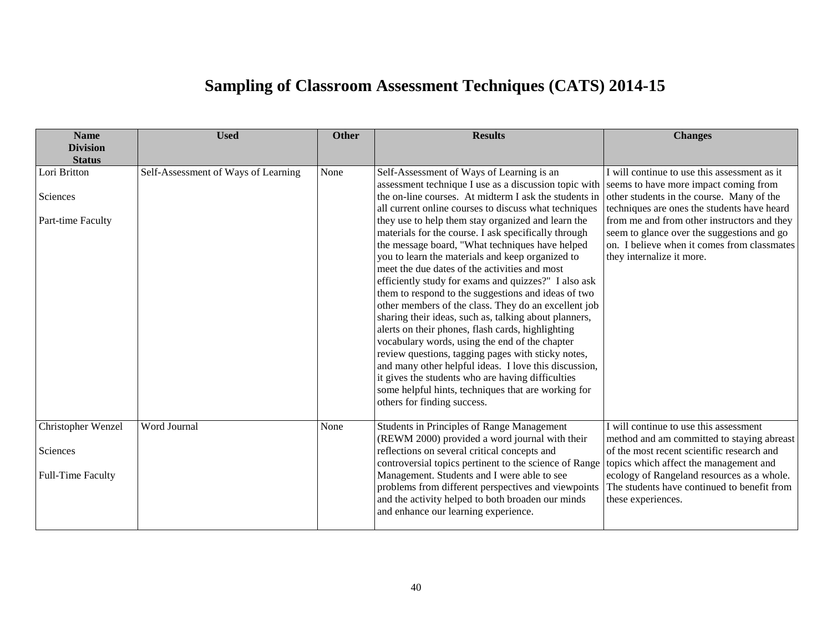## **Sampling of Classroom Assessment Techniques (CATS) 2014-15**

| <b>Name</b><br><b>Division</b>                             | <b>Used</b>                         | <b>Other</b> | <b>Results</b>                                                                                                                                                                                                                                                                                                                                                                                                                                                                                                                                                                                                                                                                                                                                                                                                                                                                                                                                                                                                                                                                                     | <b>Changes</b>                                                                                                                                                                                                                                                                                                    |  |
|------------------------------------------------------------|-------------------------------------|--------------|----------------------------------------------------------------------------------------------------------------------------------------------------------------------------------------------------------------------------------------------------------------------------------------------------------------------------------------------------------------------------------------------------------------------------------------------------------------------------------------------------------------------------------------------------------------------------------------------------------------------------------------------------------------------------------------------------------------------------------------------------------------------------------------------------------------------------------------------------------------------------------------------------------------------------------------------------------------------------------------------------------------------------------------------------------------------------------------------------|-------------------------------------------------------------------------------------------------------------------------------------------------------------------------------------------------------------------------------------------------------------------------------------------------------------------|--|
| <b>Status</b>                                              |                                     |              |                                                                                                                                                                                                                                                                                                                                                                                                                                                                                                                                                                                                                                                                                                                                                                                                                                                                                                                                                                                                                                                                                                    |                                                                                                                                                                                                                                                                                                                   |  |
| Lori Britton<br>Sciences<br>Part-time Faculty              | Self-Assessment of Ways of Learning | None         | Self-Assessment of Ways of Learning is an<br>assessment technique I use as a discussion topic with seems to have more impact coming from<br>the on-line courses. At midterm I ask the students in<br>all current online courses to discuss what techniques<br>they use to help them stay organized and learn the<br>materials for the course. I ask specifically through<br>the message board, "What techniques have helped<br>you to learn the materials and keep organized to<br>meet the due dates of the activities and most<br>efficiently study for exams and quizzes?" I also ask<br>them to respond to the suggestions and ideas of two<br>other members of the class. They do an excellent job<br>sharing their ideas, such as, talking about planners,<br>alerts on their phones, flash cards, highlighting<br>vocabulary words, using the end of the chapter<br>review questions, tagging pages with sticky notes,<br>and many other helpful ideas. I love this discussion,<br>it gives the students who are having difficulties<br>some helpful hints, techniques that are working for | I will continue to use this assessment as it<br>other students in the course. Many of the<br>techniques are ones the students have heard<br>from me and from other instructors and they<br>seem to glance over the suggestions and go<br>on. I believe when it comes from classmates<br>they internalize it more. |  |
| Christopher Wenzel<br>Sciences<br><b>Full-Time Faculty</b> | Word Journal                        | None         | others for finding success.<br><b>Students in Principles of Range Management</b><br>(REWM 2000) provided a word journal with their<br>reflections on several critical concepts and<br>controversial topics pertinent to the science of Range<br>Management. Students and I were able to see<br>problems from different perspectives and viewpoints<br>and the activity helped to both broaden our minds<br>and enhance our learning experience.                                                                                                                                                                                                                                                                                                                                                                                                                                                                                                                                                                                                                                                    | I will continue to use this assessment<br>method and am committed to staying abreast<br>of the most recent scientific research and<br>topics which affect the management and<br>ecology of Rangeland resources as a whole.<br>The students have continued to benefit from<br>these experiences.                   |  |